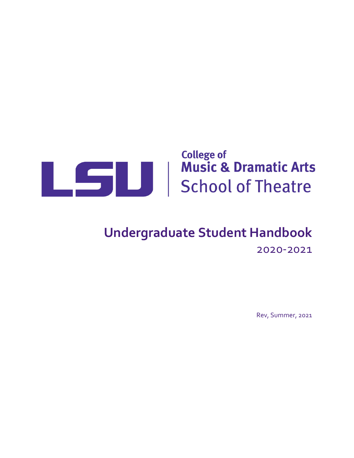

# **Undergraduate Student Handbook** 2020-2021

Rev, Summer, 2021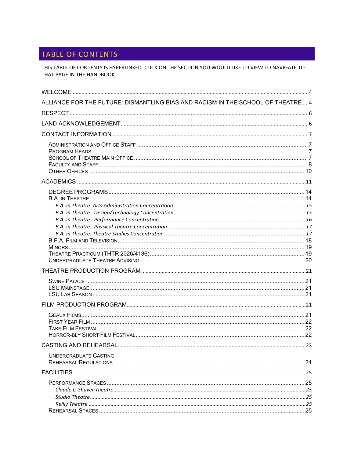# TABLE OF CONTENTS

THIS TABLE OF CONTENTS IS HYPERLINKED. CLICK ON THE SECTION YOU WOULD LIKE TO VIEW TO NAVIGATE TO THAT PAGE IN THE HANDBOOK.

| ALLIANCE FOR THE FUTURE: DISMANTLING BIAS AND RACISM IN THE SCHOOL OF THEATRE  4 |    |
|----------------------------------------------------------------------------------|----|
|                                                                                  |    |
|                                                                                  |    |
|                                                                                  |    |
|                                                                                  |    |
|                                                                                  |    |
|                                                                                  |    |
|                                                                                  |    |
|                                                                                  |    |
|                                                                                  |    |
|                                                                                  |    |
| CASTING AND REHEARSAL                                                            | 23 |
| <b>UNDERGRADUATE CASTING</b>                                                     |    |
|                                                                                  |    |
|                                                                                  |    |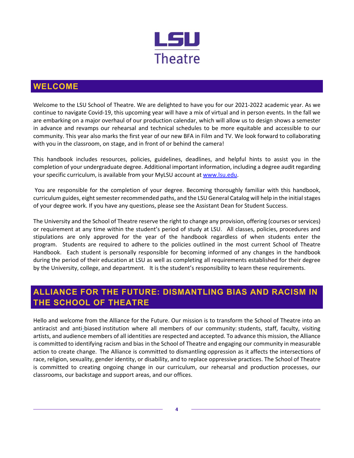

# <span id="page-3-0"></span>**WELCOME**

Welcome to the LSU School of Theatre. We are delighted to have you for our 2021-2022 academic year. As we continue to navigate Covid-19, this upcoming year will have a mix of virtual and in person events. In the fall we are embarking on a major overhaul of our production calendar, which will allow us to design shows a semester in advance and revamps our rehearsal and technical schedules to be more equitable and accessible to our community. This year also marks the first year of our new BFA in Film and TV. We look forward to collaborating with you in the classroom, on stage, and in front of or behind the camera!

This handbook includes resources, policies, guidelines, deadlines, and helpful hints to assist you in the completion of your undergraduate degree. Additional important information, including a degree audit regarding your specific curriculum, is available from your MyLSU account at [www.lsu.edu.](http://www.lsu.edu/)

You are responsible for the completion of your degree. Becoming thoroughly familiar with this handbook, curriculum guides, eight semester recommended paths, and the LSU General Catalog will help in the initial stages of your degree work. If you have any questions, please see the Assistant Dean for Student Success.

The University and the School of Theatre reserve the right to change any provision, offering (courses or services) or requirement at any time within the student's period of study at LSU. All classes, policies, procedures and stipulations are only approved for the year of the handbook regardless of when students enter the program. Students are required to adhere to the policies outlined in the most current School of Theatre Handbook. Each student is personally responsible for becoming informed of any changes in the handbook during the period of their education at LSU as well as completing all requirements established for their degree by the University, college, and department. It is the student's responsibility to learn these requirements.

# <span id="page-3-1"></span>**ALLIANCE FOR THE FUTURE: DISMANTLING BIAS AND RACISM IN THE SCHOOL OF THEATRE**

Hello and welcome from the Alliance for the Future. Our mission is to transform the School of Theatre into an antiracist and anti-biased institution where all members of our community: students, staff, faculty, visiting artists, and audience members of all identities are respected and accepted. To advance this mission, the Alliance is committed to identifying racism and bias in the School of Theatre and engaging our community in measurable action to create change. The Alliance is committed to dismantling oppression as it affects the intersections of race, religion, sexuality, gender identity, or disability, and to replace oppressive practices. The School of Theatre is committed to creating ongoing change in our curriculum, our rehearsal and production processes, our classrooms, our backstage and support areas, and our offices.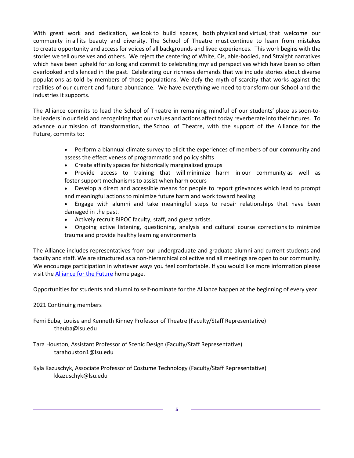With great work and dedication, we look to build spaces, both physical and virtual, that welcome our community in all its beauty and diversity. The School of Theatre must continue to learn from mistakes to create opportunity and access for voices of all backgrounds and lived experiences. This work begins with the stories we tell ourselves and others. We reject the centering of White, Cis, able-bodied, and Straight narratives which have been upheld for so long and commit to celebrating myriad perspectives which have been so often overlooked and silenced in the past. Celebrating our richness demands that we include stories about diverse populations as told by members of those populations. We defy the myth of scarcity that works against the realities of our current and future abundance. We have everything we need to transform our School and the industries it supports.

The Alliance commits to lead the School of Theatre in remaining mindful of our students' place as soon-tobe leaders in our field and recognizing that our values and actions affect today reverberate into their futures. To advance our mission of transformation, the School of Theatre, with the support of the Alliance for the Future, commits to:

- Perform a biannual climate survey to elicit the experiences of members of our community and assess the effectiveness of programmatic and policy shifts
- Create affinity spaces for historically marginalized groups
- Provide access to training that will minimize harm in our community as well as foster support mechanisms to assist when harm occurs
- Develop a direct and accessible means for people to report grievances which lead to prompt and meaningful actions to minimize future harm and work toward healing.
- Engage with alumni and take meaningful steps to repair relationships that have been damaged in the past.
- Actively recruit BIPOC faculty, staff, and guest artists.
- Ongoing active listening, questioning, analysis and cultural course corrections to minimize trauma and provide healthy learning environments

The Alliance includes representatives from our undergraduate and graduate alumni and current students and faculty and staff. We are structured as a non-hierarchical collective and all meetings are open to our community. We encourage participation in whatever ways you feel comfortable. If you would like more information please visit the **Alliance for the Future** home page.

Opportunities for students and alumni to self-nominate for the Alliance happen at the beginning of every year.

2021 Continuing members

Femi Euba, Louise and Kenneth Kinney Professor of Theatre (Faculty/Staff Representative) theuba@lsu.edu

- Tara Houston, Assistant Professor of Scenic Design (Faculty/Staff Representative) tarahouston1@lsu.edu
- Kyla Kazuschyk, Associate Professor of Costume Technology (Faculty/Staff Representative) kkazuschyk@lsu.edu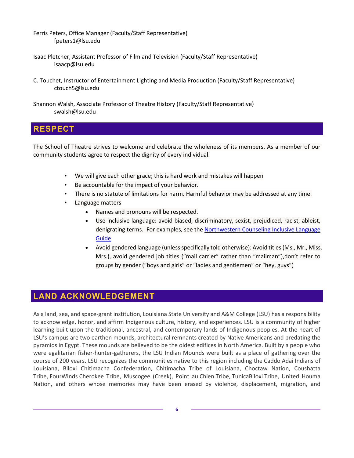Ferris Peters, Office Manager (Faculty/Staff Representative) fpeters1@lsu.edu

- Isaac Pletcher, Assistant Professor of Film and Television (Faculty/Staff Representative) isaacp@lsu.edu
- C. Touchet, Instructor of Entertainment Lighting and Media Production (Faculty/Staff Representative) ctouch5@lsu.edu

Shannon Walsh, Associate Professor of Theatre History (Faculty/Staff Representative) swalsh@lsu.edu

# <span id="page-5-0"></span>**RESPECT**

The School of Theatre strives to welcome and celebrate the wholeness of its members. As a member of our community students agree to respect the dignity of every individual.

- We will give each other grace; this is hard work and mistakes will happen
- Be accountable for the impact of your behavior.
- There is no statute of limitations for harm. Harmful behavior may be addressed at any time.
- Language matters
	- Names and pronouns will be respected.
	- Use inclusive language: avoid biased, discriminatory, sexist, prejudiced, racist, ableist, denigrating terms. For examples, see the Northwestern Counseling Inclusive Language [Guide](https://www.northwestern.edu/brand/editorial-guidelines/inclusive-language-guide/)
	- Avoid gendered language (unless specifically told otherwise): Avoid titles (Ms., Mr., Miss, Mrs.), avoid gendered job titles ("mail carrier" rather than "mailman"),don't refer to groups by gender ("boys and girls" or "ladies and gentlemen" or "hey, guys")

# <span id="page-5-1"></span>**LAND ACKNOWLEDGEMENT**

As a land, sea, and space-grant institution, Louisiana State University and A&M College (LSU) has a responsibility to acknowledge, honor, and affirm Indigenous culture, history, and experiences. LSU is a community of higher learning built upon the traditional, ancestral, and contemporary lands of Indigenous peoples. At the heart of LSU's campus are two earthen mounds, architectural remnants created by Native Americans and predating the pyramids in Egypt. These mounds are believed to be the oldest edifices in North America. Built by a people who were egalitarian fisher-hunter-gatherers, the LSU Indian Mounds were built as a place of gathering over the course of 200 years. LSU recognizes the communities native to this region including the Caddo Adai Indians of Louisiana, Biloxi Chitimacha Confederation, Chitimacha Tribe of Louisiana, Choctaw Nation, Coushatta Tribe, FourWinds Cherokee Tribe, Muscogee (Creek), Point au Chien Tribe, TunicaBiloxi Tribe, United Houma Nation, and others whose memories may have been erased by violence, displacement, migration, and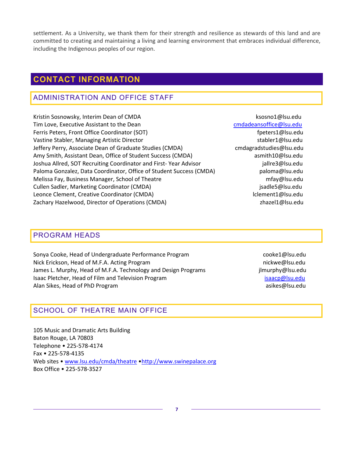settlement. As a University, we thank them for their strength and resilience as stewards of this land and are committed to creating and maintaining a living and learning environment that embraces individual difference, including the Indigenous peoples of our region.

# <span id="page-6-0"></span>**CONTACT INFORMATION**

# <span id="page-6-1"></span>ADMINISTRATION AND OFFICE STAFF

Kristin Sosnowsky, Interim Dean of CMDA ksosno1@lsu.edu Tim Love, Executive Assistant to the Dean contract the contract of the [cmdadeansoffice@lsu.edu](mailto:cmdadeansoffice@lsu.edu) Ferris Peters, Front Office Coordinator (SOT) fpeters1@lsu.edu Vastine Stabler, Managing Artistic Director stabler stabler stabler1@lsu.edu Jeffery Perry, Associate Dean of Graduate Studies (CMDA) cmdagradstudies@lsu.edu Amy Smith, Assistant Dean, Office of Student Success (CMDA) asmith10@lsu.edu Joshua Allred, SOT Recruiting Coordinator and First-Year Advisor in the same individual plane and the setting Paloma Gonzalez, Data Coordinator, Office of Student Success (CMDA) paloma@lsu.edu Melissa Fay, Business Manager, School of Theatre metal metal manager manager manager mfay@lsu.edu Cullen Sadler, Marketing Coordinator (CMDA) disable subsequently sadled its states of the states of the states of the states of the states of the states of the states of the states of the states of the states of the states Leonce Clement, Creative Coordinator (CMDA) lclement1@lsu.edu Zachary Hazelwood, Director of Operations (CMDA) and the state of the state of the state of the state of the state of the state of the state of the state of the state of the state of the state of the state of the state of

## <span id="page-6-2"></span>PROGRAM HEADS

Sonya Cooke, Head of Undergraduate Performance Program entitled and cooke1@lsu.edu Nick Erickson, Head of M.F.A. Acting Program nickwe@lsu.edu nickwe@lsu.edu James L. Murphy, Head of M.F.A. Technology and Design Programs in the sum ilmurphy@lsu.edu Isaac Pletcher, Head of Film and Television Program isaacp and allan Sikes, Head of PhD Program asikes@lsu.edu<br>Alan Sikes, Head of PhD Program asikes@lsu.edu asikes@lsu.edu

# <span id="page-6-3"></span>SCHOOL OF THEATRE MAIN OFFICE

105 Music and Dramatic Arts Building Baton Rouge, LA 70803 Telephone • 225-578-4174 Fax • 225-578-4135 Web sites • [www.lsu.edu/cmda/theatre](http://www.lsu.edu/cmda/theatre) [•http://www.swinepalace.org](http://www.swinepalace.org/) Box Office • 225-578-3527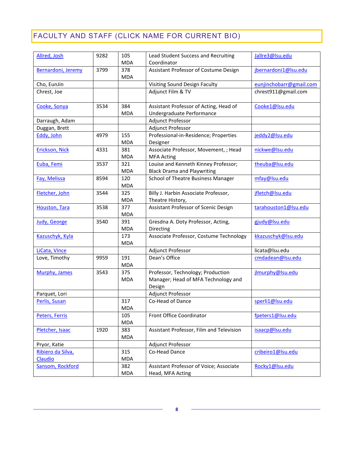# <span id="page-7-0"></span>FACULTY AND STAFF (CLICK NAME FOR CURRENT BIO)

| Allred, Josh         | 9282 | 105<br><b>MDA</b> | Jallre3@lsu.edu<br>Lead Student Success and Recruiting<br>Coordinator |                         |
|----------------------|------|-------------------|-----------------------------------------------------------------------|-------------------------|
| Bernardoni, Jeremy   | 3799 | 378               | Assistant Professor of Costume Design                                 | jbernardoni1@lsu.edu    |
|                      |      | <b>MDA</b>        |                                                                       |                         |
| Cho, EunJin          |      |                   | Visiting Sound Design Faculty                                         | eunjinchobarr@gmail.com |
| Chrest, Joe          |      |                   | Adjunct Film & TV                                                     | chrest911@gmail.com     |
| Cooke, Sonya         | 3534 | 384               | Assistant Professor of Acting, Head of                                | Cooke1@Isu.edu          |
|                      |      | <b>MDA</b>        | Undergraduate Performance                                             |                         |
| Darraugh, Adam       |      |                   | Adjunct Professor                                                     |                         |
| Duggan, Brett        |      |                   | <b>Adjunct Professor</b>                                              |                         |
| Eddy, John           | 4979 | 155               | Professional-in-Residence; Properties                                 | jeddy2@lsu.edu          |
|                      |      | <b>MDA</b>        | Designer                                                              |                         |
| Erickson, Nick       | 4331 | 381               | Associate Professor, Movement, ; Head                                 | nickwe@lsu.edu          |
|                      |      | <b>MDA</b>        | <b>MFA Acting</b>                                                     |                         |
| Euba, Femi           | 3537 | 321               | Louise and Kenneth Kinney Professor;                                  | theuba@lsu.edu          |
|                      |      | <b>MDA</b>        | <b>Black Drama and Playwriting</b>                                    |                         |
| Fay, Melissa         | 8594 | 120               | School of Theatre Business Manager                                    | mfay@lsu.edu            |
|                      |      | <b>MDA</b>        |                                                                       |                         |
| Fletcher, John       | 3544 | 325               | Billy J. Harbin Associate Professor,                                  | jfletch@lsu.edu         |
|                      |      | <b>MDA</b>        | Theatre History,                                                      |                         |
| <b>Houston, Tara</b> | 3538 | 377               | Assistant Professor of Scenic Design                                  | tarahouston1@lsu.edu    |
|                      |      | <b>MDA</b>        |                                                                       |                         |
| Judy, George         | 3540 | 391               | Gresdna A. Doty Professor, Acting,                                    | gjudy@lsu.edu           |
|                      |      | <b>MDA</b>        | Directing                                                             |                         |
| Kazuschyk, Kyla      |      | 173               | Associate Professor, Costume Technology                               | kkazuschyk@lsu.edu      |
|                      |      | <b>MDA</b>        |                                                                       |                         |
| LiCata, Vince        |      |                   | Adjunct Professor                                                     | licata@lsu.edu          |
| Love, Timothy        | 9959 | 191               | Dean's Office                                                         | cmdadean@lsu.edu        |
|                      |      | <b>MDA</b>        |                                                                       |                         |
| Murphy, James        | 3543 | 375               | Professor, Technology; Production                                     | jlmurphy@lsu.edu        |
|                      |      | <b>MDA</b>        | Manager; Head of MFA Technology and                                   |                         |
|                      |      |                   | Design                                                                |                         |
| Parquet, Lori        |      |                   | Adjunct Professor                                                     |                         |
| Perlis, Susan        |      | 317               | Co-Head of Dance                                                      | sperli1@lsu.edu         |
|                      |      | <b>MDA</b>        |                                                                       |                         |
| Peters, Ferris       |      | 105               | Front Office Coordinator                                              | fpeters1@lsu.edu        |
|                      |      | <b>MDA</b>        |                                                                       |                         |
| Pletcher, Isaac      | 1920 | 383               | Assistant Professor, Film and Television                              | isaacp@lsu.edu          |
|                      |      | <b>MDA</b>        |                                                                       |                         |
| Pryor, Katie         |      |                   | Adjunct Professor                                                     |                         |
| Ribiero da Silva,    |      | 315               | Co-Head Dance                                                         | cribeiro1@lsu.edu       |
| Claudio              |      | <b>MDA</b>        |                                                                       |                         |
| Sansom, Rockford     |      | 382               | Assistant Professor of Voice; Associate                               | Rocky1@lsu.edu          |
|                      |      | <b>MDA</b>        | Head, MFA Acting                                                      |                         |

**8**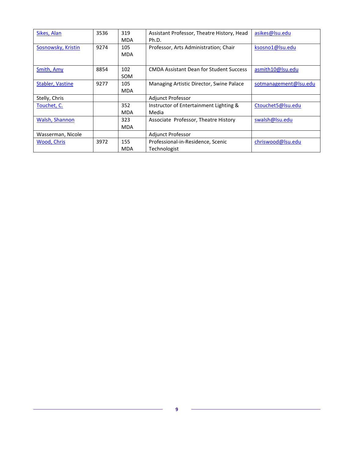| Sikes, Alan             | 3536 | 319        | Assistant Professor, Theatre History, Head     | asikes@lsu.edu        |
|-------------------------|------|------------|------------------------------------------------|-----------------------|
|                         |      | <b>MDA</b> | Ph.D.                                          |                       |
| Sosnowsky, Kristin      | 9274 | 105        | Professor, Arts Administration; Chair          | ksosno1@lsu.edu       |
|                         |      | <b>MDA</b> |                                                |                       |
|                         |      |            |                                                |                       |
| Smith, Amy              | 8854 | 102        | <b>CMDA Assistant Dean for Student Success</b> | asmith10@lsu.edu      |
|                         |      | SOM        |                                                |                       |
| <b>Stabler, Vastine</b> | 9277 | 105        | Managing Artistic Director, Swine Palace       | sotmanagement@lsu.edu |
|                         |      | <b>MDA</b> |                                                |                       |
| Stelly, Chris           |      |            | <b>Adjunct Professor</b>                       |                       |
| Touchet, C.             |      | 352        | Instructor of Entertainment Lighting &         | Ctouchet5@lsu.edu     |
|                         |      | <b>MDA</b> | Media                                          |                       |
| <b>Walsh, Shannon</b>   |      | 323        | Associate Professor, Theatre History           | swalsh@lsu.edu        |
|                         |      | <b>MDA</b> |                                                |                       |
| Wasserman, Nicole       |      |            | <b>Adjunct Professor</b>                       |                       |
| Wood, Chris             | 3972 | 155        | Professional-in-Residence, Scenic              | chriswood@lsu.edu     |
|                         |      | MDA        | Technologist                                   |                       |

 $\equiv$ 

 $\overline{\phantom{a}}$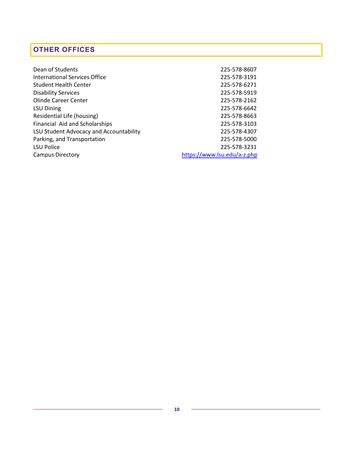# <span id="page-9-0"></span>**OTHER OFFICES**

| Dean of Students                        | 225-578-8607                |
|-----------------------------------------|-----------------------------|
| International Services Office           | 225-578-3191                |
| <b>Student Health Center</b>            | 225-578-6271                |
| <b>Disability Services</b>              | 225-578-5919                |
| Olinde Career Center                    | 225-578-2162                |
| <b>LSU Dining</b>                       | 225-578-6642                |
| Residential Life (housing)              | 225-578-8663                |
| Financial Aid and Scholarships          | 225-578-3103                |
| LSU Student Advocacy and Accountability | 225-578-4307                |
| Parking, and Transportation             | 225-578-5000                |
| <b>LSU Police</b>                       | 225-578-3231                |
| <b>Campus Directory</b>                 | https://www.lsu.edu/a-z.php |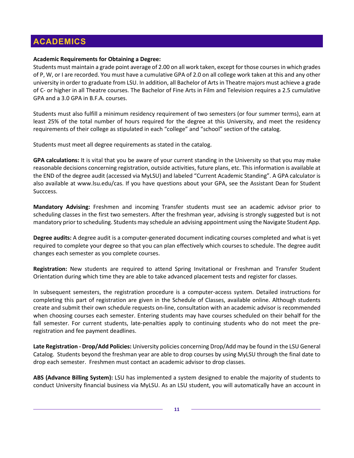# <span id="page-10-0"></span>**ACADEMICS**

#### **Academic Requirements for Obtaining a Degree:**

Students must maintain a grade point average of 2.00 on all work taken, except for those courses in which grades of P, W, or I are recorded. You must have a cumulative GPA of 2.0 on all college work taken at this and any other university in order to graduate from LSU. In addition, all Bachelor of Arts in Theatre majors must achieve a grade of C- or higher in all Theatre courses. The Bachelor of Fine Arts in Film and Television requires a 2.5 cumulative GPA and a 3.0 GPA in B.F.A. courses.

Students must also fulfill a minimum residency requirement of two semesters (or four summer terms), earn at least 25% of the total number of hours required for the degree at this University, and meet the residency requirements of their college as stipulated in each "college" and "school" section of the catalog.

Students must meet all degree requirements as stated in the catalog.

**GPA calculations:** It is vital that you be aware of your current standing in the University so that you may make reasonable decisions concerning registration, outside activities, future plans, etc. This information is available at the END of the degree audit (accessed via MyLSU) and labeled "Current Academic Standing". A GPA calculator is also available at www.lsu.edu/cas. If you have questions about your GPA, see the Assistant Dean for Student Succcess.

**Mandatory Advising:** Freshmen and incoming Transfer students must see an academic advisor prior to scheduling classes in the first two semesters. After the freshman year, advising is strongly suggested but is not mandatory prior to scheduling. Students may schedule an advising appointment using the Navigate Student App.

**Degree audits:** A degree audit is a computer-generated document indicating courses completed and what is yet required to complete your degree so that you can plan effectively which courses to schedule. The degree audit changes each semester as you complete courses.

**Registration:** New students are required to attend Spring Invitational or Freshman and Transfer Student Orientation during which time they are able to take advanced placement tests and register for classes.

In subsequent semesters, the registration procedure is a computer-access system. Detailed instructions for completing this part of registration are given in the Schedule of Classes, available online. Although students create and submit their own schedule requests on-line, consultation with an academic advisor is recommended when choosing courses each semester. Entering students may have courses scheduled on their behalf for the fall semester. For current students, late-penalties apply to continuing students who do not meet the preregistration and fee payment deadlines.

**Late Registration - Drop/Add Policies:** University policies concerning Drop/Add may be found in the LSU General Catalog. Students beyond the freshman year are able to drop courses by using MyLSU through the final date to drop each semester. Freshmen must contact an academic advisor to drop classes.

**ABS (Advance Billing System):** LSU has implemented a system designed to enable the majority of students to conduct University financial business via MyLSU. As an LSU student, you will automatically have an account in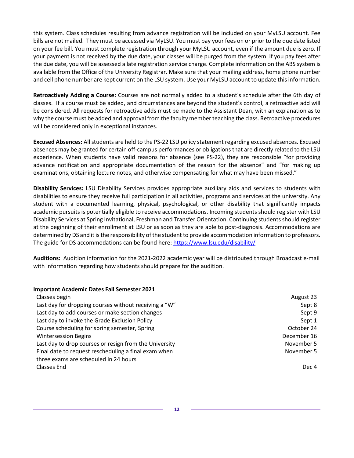this system. Class schedules resulting from advance registration will be included on your MyLSU account. Fee bills are not mailed. They must be accessed via MyLSU. You must pay your fees on or prior to the due date listed on your fee bill. You must complete registration through your MyLSU account, even if the amount due is zero. If your payment is not received by the due date, your classes will be purged from the system. If you pay fees after the due date, you will be assessed a late registration service charge. Complete information on the ABS system is available from the Office of the University Registrar. Make sure that your mailing address, home phone number and cell phone number are kept current on the LSU system. Use your MyLSU account to update this information.

**Retroactively Adding a Course:** Courses are not normally added to a student's schedule after the 6th day of classes. If a course must be added, and circumstances are beyond the student's control, a retroactive add will be considered. All requests for retroactive adds must be made to the Assistant Dean, with an explanation as to why the course must be added and approval from the faculty member teaching the class. Retroactive procedures will be considered only in exceptional instances.

**Excused Absences:** All students are held to the PS-22 LSU policy statement regarding excused absences. Excused absences may be granted for certain off-campus performances or obligations that are directly related to the LSU experience. When students have valid reasons for absence (see PS-22), they are responsible "for providing advance notification and appropriate documentation of the reason for the absence" and "for making up examinations, obtaining lecture notes, and otherwise compensating for what may have been missed."

**Disability Services:** LSU Disability Services provides appropriate auxiliary aids and services to students with disabilities to ensure they receive full participation in all activities, programs and services at the university. Any student with a documented learning, physical, psychological, or other disability that significantly impacts academic pursuits is potentially eligible to receive accommodations. Incoming students should register with LSU Disability Services at Spring Invitational, Freshman and Transfer Orientation. Continuing students should register at the beginning of their enrollment at LSU or as soon as they are able to post-diagnosis. Accommodations are determined by DS and it is the responsibility of the student to provide accommodation information to professors. The guide for DS accommodations can be found here:<https://www.lsu.edu/disability/>

**Auditions:** Audition information for the 2021-2022 academic year will be distributed through Broadcast e-mail with information regarding how students should prepare for the audition.

#### **Important Academic Dates Fall Semester 2021**

| Classes begin                                          | August 23   |
|--------------------------------------------------------|-------------|
| Last day for dropping courses without receiving a "W"  | Sept 8      |
| Last day to add courses or make section changes        | Sept 9      |
| Last day to invoke the Grade Exclusion Policy          | Sept 1      |
| Course scheduling for spring semester, Spring          | October 24  |
| <b>Wintersession Begins</b>                            | December 16 |
| Last day to drop courses or resign from the University | November 5  |
| Final date to request rescheduling a final exam when   | November 5  |
| three exams are scheduled in 24 hours                  |             |
| Classes End                                            | Dec 4       |

**12**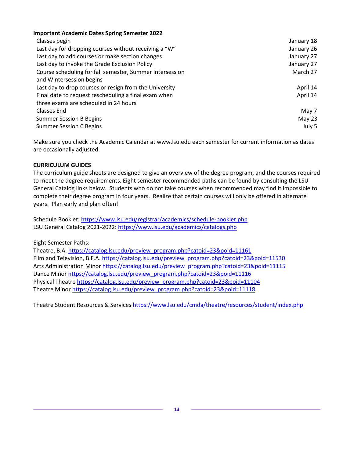| <b>Important Academic Dates Spring Semester 2022</b>     |            |
|----------------------------------------------------------|------------|
| Classes begin                                            | January 18 |
| Last day for dropping courses without receiving a "W"    | January 26 |
| Last day to add courses or make section changes          | January 27 |
| Last day to invoke the Grade Exclusion Policy            | January 27 |
| Course scheduling for fall semester, Summer Intersession | March 27   |
| and Wintersession begins                                 |            |
| Last day to drop courses or resign from the University   | April 14   |
| Final date to request rescheduling a final exam when     | April 14   |
| three exams are scheduled in 24 hours                    |            |
| Classes End                                              | May 7      |
| <b>Summer Session B Begins</b>                           | May 23     |
| <b>Summer Session C Begins</b>                           | July 5     |

Make sure you check the Academic Calendar at www.lsu.edu each semester for current information as dates are occasionally adjusted.

#### **CURRICULUM GUIDES**

The curriculum guide sheets are designed to give an overview of the degree program, and the courses required to meet the degree requirements. Eight semester recommended paths can be found by consulting the LSU General Catalog links below. Students who do not take courses when recommended may find it impossible to complete their degree program in four years. Realize that certain courses will only be offered in alternate years. Plan early and plan often!

Schedule Booklet:<https://www.lsu.edu/registrar/academics/schedule-booklet.php> LSU General Catalog 2021-2022:<https://www.lsu.edu/academics/catalogs.php>

Eight Semester Paths:

Theatre, B.A. [https://catalog.lsu.edu/preview\\_program.php?catoid=23&poid=11161](https://catalog.lsu.edu/preview_program.php?catoid=23&poid=11161) Film and Television, B.F.A. [https://catalog.lsu.edu/preview\\_program.php?catoid=23&poid=11530](https://catalog.lsu.edu/preview_program.php?catoid=23&poid=11530) Arts Administration Minor [https://catalog.lsu.edu/preview\\_program.php?catoid=23&poid=11115](https://catalog.lsu.edu/preview_program.php?catoid=23&poid=11115) Dance Minor [https://catalog.lsu.edu/preview\\_program.php?catoid=23&poid=11116](https://catalog.lsu.edu/preview_program.php?catoid=23&poid=11116) Physical Theatre [https://catalog.lsu.edu/preview\\_program.php?catoid=23&poid=11104](https://catalog.lsu.edu/preview_program.php?catoid=23&poid=11104) Theatre Minor [https://catalog.lsu.edu/preview\\_program.php?catoid=23&poid=11118](https://catalog.lsu.edu/preview_program.php?catoid=23&poid=11118)

Theatre Student Resources & Services <https://www.lsu.edu/cmda/theatre/resources/student/index.php>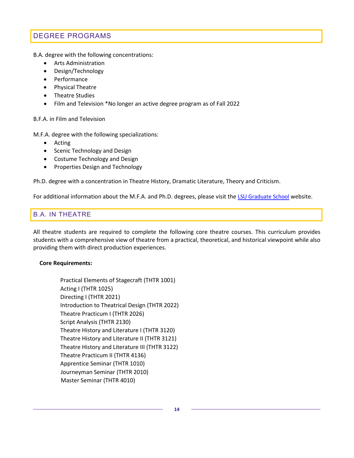# <span id="page-13-0"></span>DEGREE PROGRAMS

B.A. degree with the following concentrations:

- Arts Administration
- Design/Technology
- Performance
- Physical Theatre
- Theatre Studies
- Film and Television \*No longer an active degree program as of Fall 2022

#### B.F.A. in Film and Television

M.F.A. degree with the following specializations:

- Acting
- Scenic Technology and Design
- Costume Technology and Design
- Properties Design and Technology

Ph.D. degree with a concentration in Theatre History, Dramatic Literature, Theory and Criticism.

For additional information about the M.F.A. and Ph.D. degrees, please visit the [LSU Graduate School](https://www.lsu.edu/graduateschool/) website.

### <span id="page-13-1"></span>B.A. IN THEATRE

All theatre students are required to complete the following core theatre courses. This curriculum provides students with a comprehensive view of theatre from a practical, theoretical, and historical viewpoint while also providing them with direct production experiences.

#### **Core Requirements:**

Practical Elements of Stagecraft (THTR 1001) Acting I (THTR 1025) Directing I (THTR 2021) Introduction to Theatrical Design (THTR 2022) Theatre Practicum I (THTR 2026) Script Analysis (THTR 2130) Theatre History and Literature I (THTR 3120) Theatre History and Literature II (THTR 3121) Theatre History and Literature III (THTR 3122) Theatre Practicum II (THTR 4136) Apprentice Seminar (THTR 1010) Journeyman Seminar (THTR 2010) Master Seminar (THTR 4010)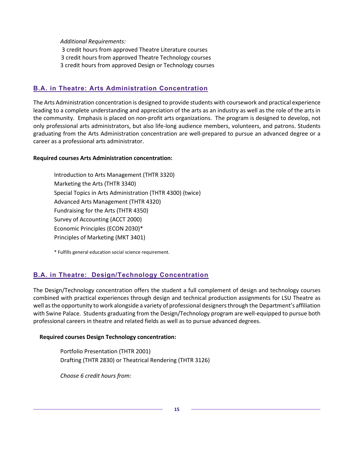*Additional Requirements:*

3 credit hours from approved Theatre Literature courses

3 credit hours from approved Theatre Technology courses

3 credit hours from approved Design or Technology courses

### <span id="page-14-0"></span>**B.A. in Theatre: Arts Administration Concentration**

The Arts Administration concentration is designed to provide students with coursework and practical experience leading to a complete understanding and appreciation of the arts as an industry as well as the role of the arts in the community. Emphasis is placed on non-profit arts organizations. The program is designed to develop, not only professional arts administrators, but also life-long audience members, volunteers, and patrons. Students graduating from the Arts Administration concentration are well-prepared to pursue an advanced degree or a career as a professional arts administrator.

#### **Required courses Arts Administration concentration:**

Introduction to Arts Management (THTR 3320) Marketing the Arts (THTR 3340) Special Topics in Arts Administration (THTR 4300) (twice) Advanced Arts Management (THTR 4320) Fundraising for the Arts (THTR 4350) Survey of Accounting (ACCT 2000) Economic Principles (ECON 2030)\* Principles of Marketing (MKT 3401)

\* Fulfills general education social science requirement.

## <span id="page-14-1"></span>**B.A. in Theatre: Design/Technology Concentration**

The Design/Technology concentration offers the student a full complement of design and technology courses combined with practical experiences through design and technical production assignments for LSU Theatre as well as the opportunity to work alongside a variety of professional designers through the Department's affiliation with Swine Palace. Students graduating from the Design/Technology program are well-equipped to pursue both professional careers in theatre and related fields as well as to pursue advanced degrees.

#### **Required courses Design Technology concentration:**

Portfolio Presentation (THTR 2001) Drafting (THTR 2830) or Theatrical Rendering (THTR 3126)

*Choose 6 credit hours from:*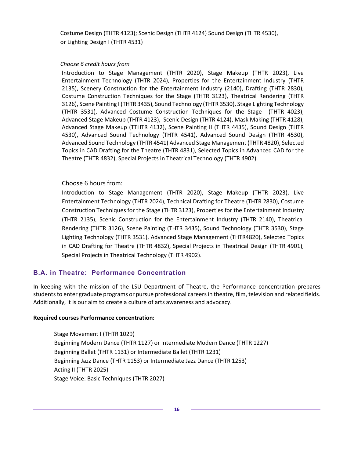Costume Design (THTR 4123); Scenic Design (THTR 4124) Sound Design (THTR 4530), or Lighting Design I (THTR 4531)

#### *Choose 6 credit hours from*

Introduction to Stage Management (THTR 2020), Stage Makeup (THTR 2023), Live Entertainment Technology (THTR 2024), Properties for the Entertainment Industry (THTR 2135), Scenery Construction for the Entertainment Industry (2140), Drafting (THTR 2830), Costume Construction Techniques for the Stage (THTR 3123), Theatrical Rendering (THTR 3126), Scene Painting I (THTR 3435), Sound Technology (THTR 3530), Stage Lighting Technology (THTR 3531), Advanced Costume Construction Techniques for the Stage (THTR 4023), Advanced Stage Makeup (THTR 4123), Scenic Design (THTR 4124), Mask Making (THTR 4128), Advanced Stage Makeup (TTHTR 4132), Scene Painting II (THTR 4435), Sound Design (THTR 4530), Advanced Sound Technology (THTR 4541), Advanced Sound Design (THTR 4530), Advanced Sound Technology (THTR 4541) Advanced Stage Management (THTR 4820), Selected Topics in CAD Drafting for the Theatre (THTR 4831), Selected Topics in Advanced CAD for the Theatre (THTR 4832), Special Projects in Theatrical Technology (THTR 4902).

#### Choose 6 hours from:

Introduction to Stage Management (THTR 2020), Stage Makeup (THTR 2023), Live Entertainment Technology (THTR 2024), Technical Drafting for Theatre (THTR 2830), Costume Construction Techniques for the Stage (THTR 3123), Properties for the Entertainment Industry (THTR 2135), Scenic Construction for the Entertainment Industry (THTR 2140), Theatrical Rendering (THTR 3126), Scene Painting (THTR 3435), Sound Technology (THTR 3530), Stage Lighting Technology (THTR 3531), Advanced Stage Management (THTR4820), Selected Topics in CAD Drafting for Theatre (THTR 4832), Special Projects in Theatrical Design (THTR 4901), Special Projects in Theatrical Technology (THTR 4902).

### <span id="page-15-0"></span>**B.A. in Theatre: Performance Concentration**

In keeping with the mission of the LSU Department of Theatre, the Performance concentration prepares students to enter graduate programs or pursue professional careers in theatre, film, television and related fields. Additionally, it is our aim to create a culture of arts awareness and advocacy.

#### **Required courses Performance concentration:**

Stage Movement I (THTR 1029) Beginning Modern Dance (THTR 1127) or Intermediate Modern Dance (THTR 1227) Beginning Ballet (THTR 1131) or Intermediate Ballet (THTR 1231) Beginning Jazz Dance (THTR 1153) or Intermediate Jazz Dance (THTR 1253) Acting II (THTR 2025) Stage Voice: Basic Techniques (THTR 2027)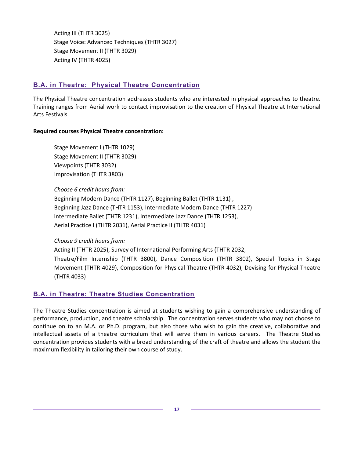Acting III (THTR 3025) Stage Voice: Advanced Techniques (THTR 3027) Stage Movement II (THTR 3029) Acting IV (THTR 4025)

### <span id="page-16-0"></span>**B.A. in Theatre: Physical Theatre Concentration**

The Physical Theatre concentration addresses students who are interested in physical approaches to theatre. Training ranges from Aerial work to contact improvisation to the creation of Physical Theatre at International Arts Festivals.

#### **Required courses Physical Theatre concentration:**

Stage Movement I (THTR 1029) Stage Movement II (THTR 3029) Viewpoints (THTR 3032) Improvisation (THTR 3803)

#### *Choose 6 credit hours from:*

Beginning Modern Dance (THTR 1127), Beginning Ballet (THTR 1131) , Beginning Jazz Dance (THTR 1153), Intermediate Modern Dance (THTR 1227) Intermediate Ballet (THTR 1231), Intermediate Jazz Dance (THTR 1253), Aerial Practice I (THTR 2031), Aerial Practice II (THTR 4031)

#### *Choose 9 credit hours from:*

Acting II (THTR 2025), Survey of International Performing Arts (THTR 2032, Theatre/Film Internship (THTR 3800), Dance Composition (THTR 3802), Special Topics in Stage Movement (THTR 4029), Composition for Physical Theatre (THTR 4032), Devising for Physical Theatre (THTR 4033)

### <span id="page-16-1"></span>**B.A. in Theatre: Theatre Studies Concentration**

The Theatre Studies concentration is aimed at students wishing to gain a comprehensive understanding of performance, production, and theatre scholarship. The concentration serves students who may not choose to continue on to an M.A. or Ph.D. program, but also those who wish to gain the creative, collaborative and intellectual assets of a theatre curriculum that will serve them in various careers. The Theatre Studies concentration provides students with a broad understanding of the craft of theatre and allows the student the maximum flexibility in tailoring their own course of study.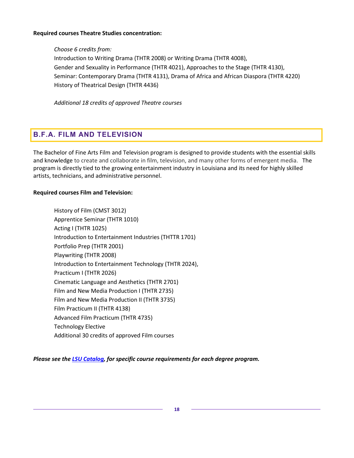#### **Required courses Theatre Studies concentration:**

*Choose 6 credits from:* Introduction to Writing Drama (THTR 2008) or Writing Drama (THTR 4008), Gender and Sexuality in Performance (THTR 4021), Approaches to the Stage (THTR 4130), Seminar: Contemporary Drama (THTR 4131), Drama of Africa and African Diaspora (THTR 4220) History of Theatrical Design (THTR 4436)

*Additional 18 credits of approved Theatre courses*

# <span id="page-17-0"></span>**B.F.A. FILM AND TELEVISION**

The Bachelor of Fine Arts Film and Television program is designed to provide students with the essential skills and knowledge to create and collaborate in film, television, and many other forms of emergent media. The program is directly tied to the growing entertainment industry in Louisiana and its need for highly skilled artists, technicians, and administrative personnel.

#### **Required courses Film and Television:**

History of Film (CMST 3012) Apprentice Seminar (THTR 1010) Acting I (THTR 1025) Introduction to Entertainment Industries (THTTR 1701) Portfolio Prep (THTR 2001) Playwriting (THTR 2008) Introduction to Entertainment Technology (THTR 2024), Practicum I (THTR 2026) Cinematic Language and Aesthetics (THTR 2701) Film and New Media Production I (THTR 2735) Film and New Media Production II (THTR 3735) Film Practicum II (THTR 4138) Advanced Film Practicum (THTR 4735) Technology Elective Additional 30 credits of approved Film courses

*Please see th[e LSU Catalog,](http://www.lsu.edu/academics/catalogs.php) for specific course requirements for each degree program.*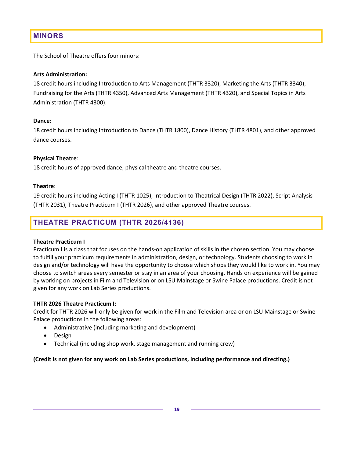# <span id="page-18-0"></span>**MINORS**

The School of Theatre offers four minors:

#### **Arts Administration:**

18 credit hours including Introduction to Arts Management (THTR 3320), Marketing the Arts (THTR 3340), Fundraising for the Arts (THTR 4350), Advanced Arts Management (THTR 4320), and Special Topics in Arts Administration (THTR 4300).

#### **Dance:**

18 credit hours including Introduction to Dance (THTR 1800), Dance History (THTR 4801), and other approved dance courses.

#### **Physical Theatre**:

18 credit hours of approved dance, physical theatre and theatre courses.

#### **Theatre**:

19 credit hours including Acting I (THTR 1025), Introduction to Theatrical Design (THTR 2022), Script Analysis (THTR 2031), Theatre Practicum I (THTR 2026), and other approved Theatre courses.

# <span id="page-18-1"></span>**THEATRE PRACTICUM (THTR 2026/4136)**

#### **Theatre Practicum I**

Practicum I is a class that focuses on the hands-on application of skills in the chosen section. You may choose to fulfill your practicum requirements in administration, design, or technology. Students choosing to work in design and/or technology will have the opportunity to choose which shops they would like to work in. You may choose to switch areas every semester or stay in an area of your choosing. Hands on experience will be gained by working on projects in Film and Television or on LSU Mainstage or Swine Palace productions. Credit is not given for any work on Lab Series productions.

#### **THTR 2026 Theatre Practicum I:**

Credit for THTR 2026 will only be given for work in the Film and Television area or on LSU Mainstage or Swine Palace productions in the following areas:

- Administrative (including marketing and development)
- Design
- Technical (including shop work, stage management and running crew)

#### **(Credit is not given for any work on Lab Series productions, including performance and directing.)**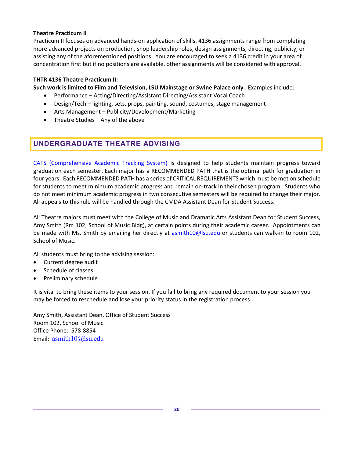#### **Theatre Practicum II**

Practicum II focuses on advanced hands-on application of skills. 4136 assignments range from completing more advanced projects on production, shop leadership roles, design assignments, directing, publicity, or assisting any of the aforementioned positions. You are encouraged to seek a 4136 credit in your area of concentration first but if no positions are available, other assignments will be considered with approval.

#### **THTR 4136 Theatre Practicum II:**

**Such work is limited to Film and Television, LSU Mainstage or Swine Palace only**. Examples include:

- Performance Acting/Directing/Assistant Directing/Assistant Vocal Coach
- Design/Tech lighting, sets, props, painting, sound, costumes, stage management
- Arts Management Publicity/Development/Marketing
- Theatre Studies Any of the above

## <span id="page-19-0"></span>**UNDERGRADUATE THEATRE ADVISING**

[CATS \(Comprehensive Academic Tracking System\)](https://lsu.edu/registrar/academics/cats.php) is designed to help students maintain progress toward graduation each semester. Each major has a RECOMMENDED PATH that is the optimal path for graduation in four years. Each RECOMMENDED PATH has a series of CRITICAL REQUIREMENTS which must be met on schedule for students to meet minimum academic progress and remain on-track in their chosen program. Students who do not meet minimum academic progress in two consecutive semesters will be required to change their major. All appeals to this rule will be handled through the CMDA Assistant Dean for Student Success.

All Theatre majors must meet with the College of Music and Dramatic Arts Assistant Dean for Student Success, Amy Smith (Rm 102, School of Music Bldg), at certain points during their academic career. Appointments can be made with Ms. Smith by emailing her directly at asmith10@lsu.edu or students can walk-in to room 102, School of Music.

All students must bring to the advising session:

- Current degree audit
- Schedule of classes
- Preliminary schedule

It is vital to bring these items to your session. If you fail to bring any required document to your session you may be forced to reschedule and lose your priority status in the registration process.

Amy Smith, Assistant Dean, Office of Student Success Room 102, School of Music Office Phone: 578-8854 Email: asmith10@lsu.edu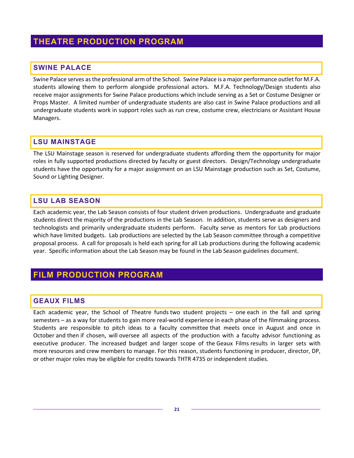# <span id="page-20-0"></span>**THEATRE PRODUCTION PROGRAM**

### <span id="page-20-1"></span>**SWINE PALACE**

Swine Palace serves as the professional arm of the School. Swine Palace is a major performance outlet for M.F.A. students allowing them to perform alongside professional actors. M.F.A. Technology/Design students also receive major assignments for Swine Palace productions which include serving as a Set or Costume Designer or Props Master. A limited number of undergraduate students are also cast in Swine Palace productions and all undergraduate students work in support roles such as run crew, costume crew, electricians or Assistant House Managers.

### <span id="page-20-2"></span>**LSU MAINSTAGE**

The LSU Mainstage season is reserved for undergraduate students affording them the opportunity for major roles in fully supported productions directed by faculty or guest directors. Design/Technology undergraduate students have the opportunity for a major assignment on an LSU Mainstage production such as Set, Costume, Sound or Lighting Designer.

## <span id="page-20-3"></span>**LSU LAB SEASON**

Each academic year, the Lab Season consists of four student driven productions. Undergraduate and graduate students direct the majority of the productions in the Lab Season. In addition, students serve as designers and technologists and primarily undergraduate students perform. Faculty serve as mentors for Lab productions which have limited budgets. Lab productions are selected by the Lab Season committee through a competitive proposal process. A call for proposals is held each spring for all Lab productions during the following academic year. Specific information about the Lab Season may be found in the Lab Season guidelines document.

# <span id="page-20-4"></span>**FILM PRODUCTION PROGRAM**

### <span id="page-20-5"></span>**GEAUX FILMS**

Each academic year, the School of Theatre funds two student projects – one each in the fall and spring semesters – as a way for students to gain more real-world experience in each phase of the filmmaking process. Students are responsible to pitch ideas to a faculty committee that meets once in August and once in October and then if chosen, will oversee all aspects of the production with a faculty advisor functioning as executive producer. The increased budget and larger scope of the Geaux Films results in larger sets with more resources and crew members to manage. For this reason, students functioning in producer, director, DP, or other major roles may be eligible for credits towards THTR 4735 or independent studies.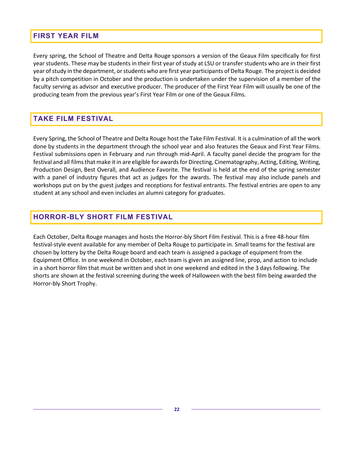### <span id="page-21-0"></span>**FIRST YEAR FILM**

Every spring, the School of Theatre and Delta Rouge sponsors a version of the Geaux Film specifically for first year students. These may be students in their first year of study at LSU or transfer students who are in their first year of study in the department, or students who are first year participants of Delta Rouge. The project is decided by a pitch competition in October and the production is undertaken under the supervision of a member of the faculty serving as advisor and executive producer. The producer of the First Year Film will usually be one of the producing team from the previous year's First Year Film or one of the Geaux Films.

## <span id="page-21-1"></span>**TAKE FILM FESTIVAL**

Every Spring, the School of Theatre and Delta Rouge host the Take Film Festival. It is a culmination of all the work done by students in the department through the school year and also features the Geaux and First Year Films. Festival submissions open in February and run through mid-April. A faculty panel decide the program for the festival and all films that make it in are eligible for awards for Directing, Cinematography, Acting, Editing, Writing, Production Design, Best Overall, and Audience Favorite. The festival is held at the end of the spring semester with a panel of industry figures that act as judges for the awards. The festival may also include panels and workshops put on by the guest judges and receptions for festival entrants. The festival entries are open to any student at any school and even includes an alumni category for graduates.

# <span id="page-21-2"></span>**HORROR-BLY SHORT FILM FESTIVAL**

Each October, Delta Rouge manages and hosts the Horror-bly Short Film Festival. This is a free 48-hour film festival-style event available for any member of Delta Rouge to participate in. Small teams for the festival are chosen by lottery by the Delta Rouge board and each team is assigned a package of equipment from the Equipment Office. In one weekend in October, each team is given an assigned line, prop, and action to include in a short horror film that must be written and shot in one weekend and edited in the 3 days following. The shorts are shown at the festival screening during the week of Halloween with the best film being awarded the Horror-bly Short Trophy.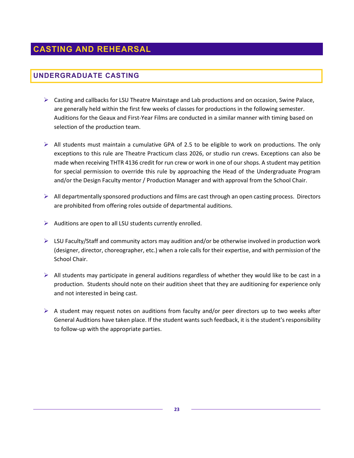# <span id="page-22-1"></span><span id="page-22-0"></span>**UNDERGRADUATE CASTING**

- $\triangleright$  Casting and callbacks for LSU Theatre Mainstage and Lab productions and on occasion, Swine Palace, are generally held within the first few weeks of classes for productions in the following semester. Auditions for the Geaux and First-Year Films are conducted in a similar manner with timing based on selection of the production team.
- $\triangleright$  All students must maintain a cumulative GPA of 2.5 to be eligible to work on productions. The only exceptions to this rule are Theatre Practicum class 2026, or studio run crews. Exceptions can also be made when receiving THTR 4136 credit for run crew or work in one of our shops. A student may petition for special permission to override this rule by approaching the Head of the Undergraduate Program and/or the Design Faculty mentor / Production Manager and with approval from the School Chair.
- $\triangleright$  All departmentally sponsored productions and films are cast through an open casting process. Directors are prohibited from offering roles outside of departmental auditions.
- $\triangleright$  Auditions are open to all LSU students currently enrolled.
- $\triangleright$  LSU Faculty/Staff and community actors may audition and/or be otherwise involved in production work (designer, director, choreographer, etc.) when a role calls for their expertise, and with permission of the School Chair.
- $\triangleright$  All students may participate in general auditions regardless of whether they would like to be cast in a production. Students should note on their audition sheet that they are auditioning for experience only and not interested in being cast.
- $\triangleright$  A student may request notes on auditions from faculty and/or peer directors up to two weeks after General Auditions have taken place. If the student wants such feedback, it is the student's responsibility to follow-up with the appropriate parties.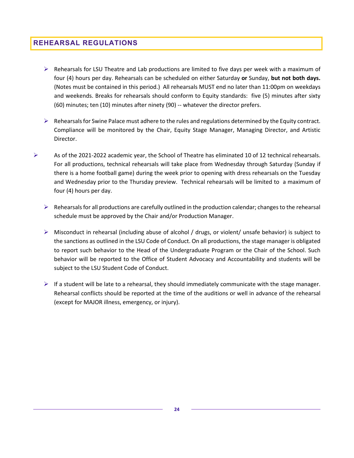### <span id="page-23-0"></span>**REHEARSAL REGULATIONS**

- $\triangleright$  Rehearsals for LSU Theatre and Lab productions are limited to five days per week with a maximum of four (4) hours per day. Rehearsals can be scheduled on either Saturday **or** Sunday, **but not both days.** (Notes must be contained in this period.) All rehearsals MUST end no later than 11:00pm on weekdays and weekends. Breaks for rehearsals should conform to Equity standards: five (5) minutes after sixty (60) minutes; ten (10) minutes after ninety (90) -- whatever the director prefers.
- $\triangleright$  Rehearsals for Swine Palace must adhere to the rules and regulations determined by the Equity contract. Compliance will be monitored by the Chair, Equity Stage Manager, Managing Director, and Artistic Director.
- As of the 2021-2022 academic year, the School of Theatre has eliminated 10 of 12 technical rehearsals. For all productions, technical rehearsals will take place from Wednesday through Saturday (Sunday if there is a home football game) during the week prior to opening with dress rehearsals on the Tuesday and Wednesday prior to the Thursday preview. Technical rehearsals will be limited to a maximum of four (4) hours per day.
	- $\triangleright$  Rehearsals for all productions are carefully outlined in the production calendar; changes to the rehearsal schedule must be approved by the Chair and/or Production Manager.
	- $\triangleright$  Misconduct in rehearsal (including abuse of alcohol / drugs, or violent/ unsafe behavior) is subject to the sanctions as outlined in the LSU Code of Conduct. On all productions, the stage manager is obligated to report such behavior to the Head of the Undergraduate Program or the Chair of the School. Such behavior will be reported to the Office of Student Advocacy and Accountability and students will be subject to the LSU Student Code of Conduct.
	- $\triangleright$  If a student will be late to a rehearsal, they should immediately communicate with the stage manager. Rehearsal conflicts should be reported at the time of the auditions or well in advance of the rehearsal (except for MAJOR illness, emergency, or injury).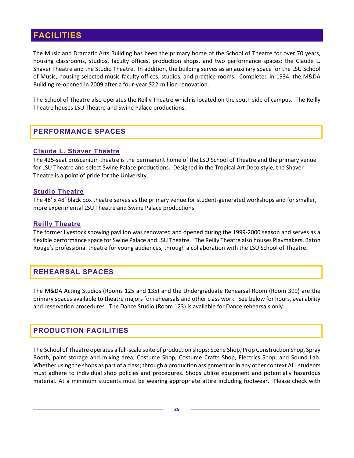# <span id="page-24-0"></span>**FACILITIES**

The Music and Dramatic Arts Building has been the primary home of the School of Theatre for over 70 years, housing classrooms, studios, faculty offices, production shops, and two performance spaces: the Claude L. Shaver Theatre and the Studio Theatre. In addition, the building serves as an auxiliary space for the LSU School of Music, housing selected music faculty offices, studios, and practice rooms. Completed in 1934, the M&DA Building re-opened in 2009 after a four-year \$22-million renovation.

The School of Theatre also operates the Reilly Theatre which is located on the south side of campus. The Reilly Theatre houses LSU Theatre and Swine Palace productions.

### <span id="page-24-1"></span>**PERFORMANCE SPACES**

#### <span id="page-24-2"></span>**Claude L. Shaver Theatre**

The 425-seat proscenium theatre is the permanent home of the LSU School of Theatre and the primary venue for LSU Theatre and select Swine Palace productions. Designed in the Tropical Art Deco style, the Shaver Theatre is a point of pride for the University.

#### <span id="page-24-3"></span>**Studio Theatre**

The 48' x 48' black box theatre serves as the primary venue for student-generated workshops and for smaller, more experimental LSU Theatre and Swine Palace productions.

#### <span id="page-24-4"></span>**Reilly Theatre**

The former livestock showing pavilion was renovated and opened during the 1999-2000 season and serves as a flexible performance space for Swine Palace and LSU Theatre. The Reilly Theatre also houses Playmakers, Baton Rouge's professional theatre for young audiences, through a collaboration with the LSU School of Theatre.

### <span id="page-24-5"></span>**REHEARSAL SPACES**

The M&DA Acting Studios (Rooms 125 and 135) and the Undergraduate Rehearsal Room (Room 399) are the primary spaces available to theatre majors for rehearsals and other class work. See below for hours, availability and reservation procedures. The Dance Studio (Room 123) is available for Dance rehearsals only.

## <span id="page-24-6"></span>**PRODUCTION FACILITIES**

The School of Theatre operates a full-scale suite of production shops: Scene Shop, Prop Construction Shop, Spray Booth, paint storage and mixing area, Costume Shop, Costume Crafts Shop, Electrics Shop, and Sound Lab. Whether using the shops as part of a class; through a production assignment or in any other context ALL students must adhere to individual shop policies and procedures. Shops utilize equipment and potentially hazardous material. At a minimum students must be wearing appropriate attire including footwear. Please check with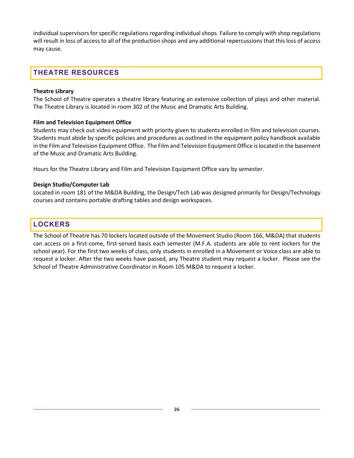individual supervisors for specific regulations regarding individual shops. Failure to comply with shop regulations will result in loss of access to all of the production shops and any additional repercussions that this loss of access may cause.

# <span id="page-25-0"></span>**THEATRE RESOURCES**

#### **Theatre Library**

The School of Theatre operates a theatre library featuring an extensive collection of plays and other material. The Theatre Library is located in room 302 of the Music and Dramatic Arts Building.

#### **Film and Television Equipment Office**

Students may check out video equipment with priority given to students enrolled in film and television courses. Students must abide by specific policies and procedures as outlined in the equipment policy handbook available in the Film and Television Equipment Office. The Film and Television Equipment Office is located in the basement of the Music and Dramatic Arts Building.

Hours for the Theatre Library and Film and Television Equipment Office vary by semester.

#### **Design Studio/Computer Lab**

Located in room 181 of the M&DA Building, the Design/Tech Lab was designed primarily for Design/Technology courses and contains portable drafting tables and design workspaces.

### <span id="page-25-1"></span>**LOCKERS**

The School of Theatre has 70 lockers located outside of the Movement Studio (Room 166, M&DA) that students can access on a first-come, first-served basis each semester (M.F.A. students are able to rent lockers for the school year). For the first two weeks of class, only students in enrolled in a Movement or Voice class are able to request a locker. After the two weeks have passed, any Theatre student may request a locker. Please see the School of Theatre Administrative Coordinator in Room 105 M&DA to request a locker.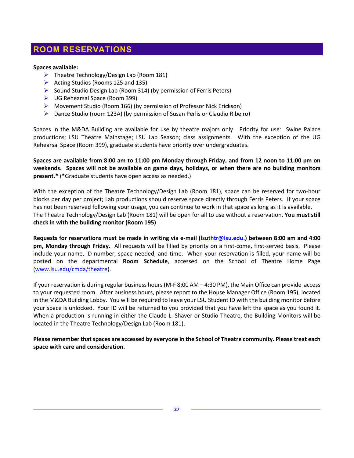# <span id="page-26-0"></span>**ROOM RESERVATIONS**

#### **Spaces available:**

- $\triangleright$  Theatre Technology/Design Lab (Room 181)
- $\triangleright$  Acting Studios (Rooms 125 and 135)
- $\triangleright$  Sound Studio Design Lab (Room 314) (by permission of Ferris Peters)
- UG Rehearsal Space (Room 399)
- Movement Studio (Room 166) (by permission of Professor Nick Erickson)
- Dance Studio (room 123A) (by permission of Susan Perlis or Claudio Ribeiro)

Spaces in the M&DA Building are available for use by theatre majors only. Priority for use: Swine Palace productions; LSU Theatre Mainstage; LSU Lab Season; class assignments. With the exception of the UG Rehearsal Space (Room 399), graduate students have priority over undergraduates.

**Spaces are available from 8:00 am to 11:00 pm Monday through Friday, and from 12 noon to 11:00 pm on weekends. Spaces will not be available on game days, holidays, or when there are no building monitors present.\*** (\*Graduate students have open access as needed.)

With the exception of the Theatre Technology/Design Lab (Room 181), space can be reserved for two-hour blocks per day per project; Lab productions should reserve space directly through Ferris Peters. If your space has not been reserved following your usage, you can continue to work in that space as long as it is available. The Theatre Technology/Design Lab (Room 181) will be open for all to use without a reservation. **You must still check in with the building monitor (Room 195)**

**Requests for reservations must be made in writing via e-mail [\(lsuthtr@lsu.edu.](mailto:lsuthtr@lsu.edu)) between 8:00 am and 4:00 pm, Monday through Friday.** All requests will be filled by priority on a first-come, first-served basis. Please include your name, ID number, space needed, and time. When your reservation is filled, your name will be posted on the departmental **Room Schedule**, accessed on the School of Theatre Home Page [\(www.lsu.edu/cmda/theatre\)](http://lsu.edu/cmda/theatre/index.php).

If your reservation is during regular business hours (M-F 8:00 AM – 4:30 PM), the Main Office can provide access to your requested room. After business hours, please report to the House Manager Office (Room 195), located in the M&DA Building Lobby. You will be required to leave your LSU Student ID with the building monitor before your space is unlocked. Your ID will be returned to you provided that you have left the space as you found it. When a production is running in either the Claude L. Shaver or Studio Theatre, the Building Monitors will be located in the Theatre Technology/Design Lab (Room 181).

**Please remember that spaces are accessed by everyone in the School of Theatre community. Please treat each space with care and consideration.**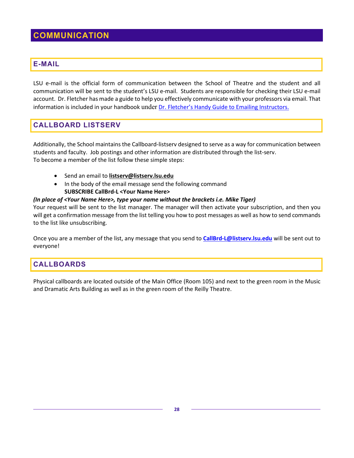# <span id="page-27-0"></span>**COMMUNICATION**

### <span id="page-27-1"></span>**E-MAIL**

LSU e-mail is the official form of communication between the School of Theatre and the student and all communication will be sent to the student's LSU e-mail. Students are responsible for checking their LSU e-mail account. Dr. Fletcher has made a guide to help you effectively communicate with your professors via email. That information is included in your handbook under [Dr. Fletcher's Handy Guide to Emailing Instructors.](#page-35-0)

# <span id="page-27-2"></span>**CALLBOARD LISTSERV**

Additionally, the School maintains the Callboard-listserv designed to serve as a way for communication between students and faculty. Job postings and other information are distributed through the list-serv. To become a member of the list follow these simple steps:

- Send an email to **[listserv@listserv.lsu.edu](mailto:listserv@listserv.lsu.edu)**
- In the body of the email message send the following command **SUBSCRIBE CallBrd-L <Your Name Here>**

#### *(In place of <Your Name Here>, type your name without the brackets i.e. Mike Tiger)*

Your request will be sent to the list manager. The manager will then activate your subscription, and then you will get a confirmation message from the list telling you how to post messages as well as how to send commands to the list like unsubscribing.

Once you are a member of the list, any message that you send to **[CallBrd-L@listserv.lsu.edu](mailto:CallBrd-L@listserv.lsu.edu)** will be sent out to everyone!

## <span id="page-27-3"></span>**CALLBOARDS**

Physical callboards are located outside of the Main Office (Room 105) and next to the green room in the Music and Dramatic Arts Building as well as in the green room of the Reilly Theatre.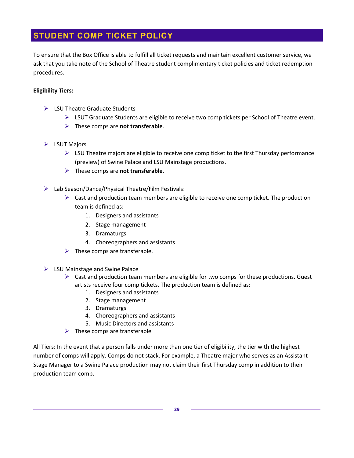# <span id="page-28-0"></span>**STUDENT COMP TICKET POLICY**

To ensure that the Box Office is able to fulfill all ticket requests and maintain excellent customer service, we ask that you take note of the School of Theatre student complimentary ticket policies and ticket redemption procedures.

#### **Eligibility Tiers:**

- $\triangleright$  LSU Theatre Graduate Students
	- $\triangleright$  LSUT Graduate Students are eligible to receive two comp tickets per School of Theatre event.
	- These comps are **not transferable**.
- $\triangleright$  LSUT Majors
	- $\triangleright$  LSU Theatre majors are eligible to receive one comp ticket to the first Thursday performance (preview) of Swine Palace and LSU Mainstage productions.
	- These comps are **not transferable**.
- $\triangleright$  Lab Season/Dance/Physical Theatre/Film Festivals:
	- $\triangleright$  Cast and production team members are eligible to receive one comp ticket. The production team is defined as:
		- 1. Designers and assistants
		- 2. Stage management
		- 3. Dramaturgs
		- 4. Choreographers and assistants
	- $\triangleright$  These comps are transferable.
- $\triangleright$  LSU Mainstage and Swine Palace
	- $\triangleright$  Cast and production team members are eligible for two comps for these productions. Guest artists receive four comp tickets. The production team is defined as:
		- 1. Designers and assistants
		- 2. Stage management
		- 3. Dramaturgs
		- 4. Choreographers and assistants
		- 5. Music Directors and assistants
	- $\triangleright$  These comps are transferable

All Tiers: In the event that a person falls under more than one tier of eligibility, the tier with the highest number of comps will apply. Comps do not stack. For example, a Theatre major who serves as an Assistant Stage Manager to a Swine Palace production may not claim their first Thursday comp in addition to their production team comp.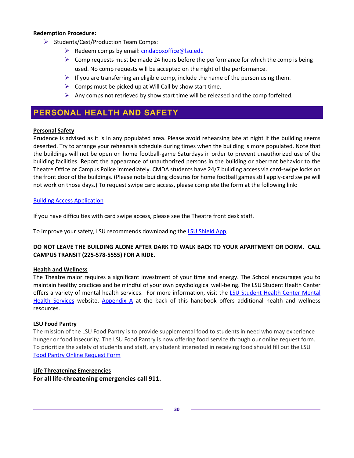#### **Redemption Procedure:**

- $\triangleright$  Students/Cast/Production Team Comps:
	- $\triangleright$  Redeem comps by email: cmdaboxoffice@lsu.edu
	- $\triangleright$  Comp requests must be made 24 hours before the performance for which the comp is being used. No comp requests will be accepted on the night of the performance.
	- $\triangleright$  If you are transferring an eligible comp, include the name of the person using them.
	- $\triangleright$  Comps must be picked up at Will Call by show start time.
	- Any comps not retrieved by show start time will be released and the comp forfeited.

# <span id="page-29-0"></span>**PERSONAL HEALTH AND SAFETY**

#### **Personal Safety**

Prudence is advised as it is in any populated area. Please avoid rehearsing late at night if the building seems deserted. Try to arrange your rehearsals schedule during times when the building is more populated. Note that the buildings will not be open on home football-game Saturdays in order to prevent unauthorized use of the building facilities. Report the appearance of unauthorized persons in the building or aberrant behavior to the Theatre Office or Campus Police immediately. CMDA students have 24/7 building access via card-swipe locks on the front door of the buildings. (Please note building closures for home football games still apply-card swipe will not work on those days.) To request swipe card access, please complete the form at the following link:

#### [Building Access Application](https://lsu.edu/cmda/theatre/forms/building-access.php)

If you have difficulties with card swipe access, please see the Theatre front desk staff.

To improve your safety, LSU recommends downloading the **LSU Shield App**.

#### **DO NOT LEAVE THE BUILDING ALONE AFTER DARK TO WALK BACK TO YOUR APARTMENT OR DORM. CALL CAMPUS TRANSIT (225-578-5555) FOR A RIDE.**

#### **Health and Wellness**

The Theatre major requires a significant investment of your time and energy. The School encourages you to maintain healthy practices and be mindful of your own psychological well-being. The LSU Student Health Center offers a variety of mental health services. For more information, visit the LSU Student Health Center Mental [Health Services](https://lsu.edu/shc/mental-health/mhshome.php) website. [Appendix](#page-46-0) A at the back of this handbook offers additional health and wellness resources.

#### **LSU Food Pantry**

The mission of the LSU Food Pantry is to provide supplemental food to students in need who may experience hunger or food insecurity. The LSU Food Pantry is now offering food service through our online request form. To prioritize the safety of students and staff, any student interested in receiving food should fill out the LSU [Food Pantry Online Request Form](https://www.lsu.edu/campuslife/service/foodpantry/index.php)

#### **Life Threatening Emergencies**

**For all life-threatening emergencies call 911.**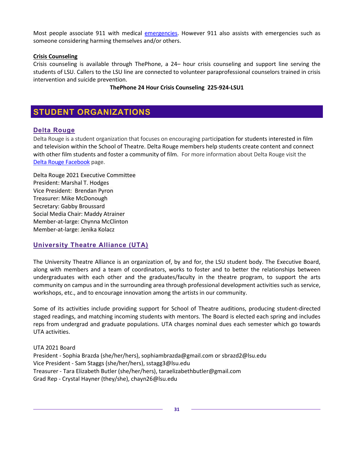Most people associate 911 with medical [emergencies.](https://www.lsu.edu/shc/emergencies.php) However 911 also assists with emergencies such as someone considering harming themselves and/or others.

#### **Crisis Counseling**

Crisis counseling is available through ThePhone, a 24– hour crisis counseling and support line serving the students of LSU. Callers to the LSU line are connected to volunteer paraprofessional counselors trained in crisis intervention and suicide prevention.

#### **ThePhone 24 Hour Crisis Counseling 225-924-LSU1**

# <span id="page-30-0"></span>**STUDENT ORGANIZATIONS**

### <span id="page-30-1"></span>**Delta Rouge**

Delta Rouge is a student organization that focuses on encouraging participation for students interested in film and television within the School of Theatre. Delta Rouge members help students create content and connect with other film students and foster a community of film. For more information about Delta Rouge visit the [Delta Rouge Facebook](https://www.facebook.com/groups/1670997153228361/?ref=br_rs) page.

Delta Rouge 2021 Executive Committee President: Marshal T. Hodges Vice President: Brendan Pyron Treasurer: Mike McDonough Secretary: Gabby Broussard Social Media Chair: Maddy Atrainer Member-at-large: Chynna McClinton Member-at-large: Jenika Kolacz

#### <span id="page-30-2"></span>**University Theatre Alliance (UTA)**

The University Theatre Alliance is an organization of, by and for, the LSU student body. The Executive Board, along with members and a team of coordinators, works to foster and to better the relationships between undergraduates with each other and the graduates/faculty in the theatre program, to support the arts community on campus and in the surrounding area through professional development activities such as service, workshops, etc., and to encourage innovation among the artists in our community.

Some of its activities include providing support for School of Theatre auditions, producing student-directed staged readings, and matching incoming students with mentors. The Board is elected each spring and includes reps from undergrad and graduate populations. UTA charges nominal dues each semester which go towards UTA activities.

UTA 2021 Board

President - Sophia Brazda (she/her/hers), sophiambrazda@gmail.com or sbrazd2@lsu.edu Vice President - Sam Staggs (she/her/hers), sstagg3@lsu.edu Treasurer - Tara Elizabeth Butler (she/her/hers), taraelizabethbutler@gmail.com Grad Rep - Crystal Hayner (they/she), chayn26@lsu.edu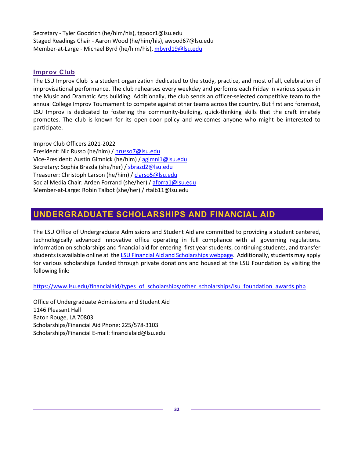Secretary - Tyler Goodrich (he/him/his), tgoodr1@lsu.edu Staged Readings Chair - Aaron Wood (he/him/his), awood67@lsu.edu Member-at-Large - Michael Byrd (he/him/his), [mbyrd19@lsu.edu](mailto:mbyrd19@lsu.edu)

#### <span id="page-31-0"></span>**Improv Club**

The LSU Improv Club is a student organization dedicated to the study, practice, and most of all, celebration of improvisational performance. The club rehearses every weekday and performs each Friday in various spaces in the Music and Dramatic Arts building. Additionally, the club sends an officer-selected competitive team to the annual College Improv Tournament to compete against other teams across the country. But first and foremost, LSU Improv is dedicated to fostering the community-building, quick-thinking skills that the craft innately promotes. The club is known for its open-door policy and welcomes anyone who might be interested to participate.

#### Improv Club Officers 2021-2022

President: Nic Russo (he/him) / [nrusso7@lsu.edu](mailto:nrusso7@lsu.edu) Vice-President: Austin Gimnick (he/him) / [agimni1@lsu.edu](mailto:agimni1@lsu.edu) Secretary: Sophia Brazda (she/her) [/ sbrazd2@lsu.edu](mailto:sbrazd2@lsu.edu) Treasurer: Christoph Larson (he/him) [/ clarso5@lsu.edu](mailto:clarso5@lsu.edu) Social Media Chair: Arden Forrand (she/her) / [aforra1@lsu.edu](mailto:aforra1@lsu.edu) Member-at-Large: Robin Talbot (she/her) / rtalb11@lsu.edu

# <span id="page-31-1"></span>**UNDERGRADUATE SCHOLARSHIPS AND FINANCIAL AID**

The LSU Office of Undergraduate Admissions and Student Aid are committed to providing a student centered, technologically advanced innovative office operating in full compliance with all governing regulations. Information on scholarships and financial aid for entering first year students, continuing students, and transfer students is available online at the [LSU Financial Aid and Scholarships webpage.](https://www.lsu.edu/financialaid/index.php) Additionally, students may apply for various scholarships funded through private donations and housed at the LSU Foundation by visiting the following link:

[https://www.lsu.edu/financialaid/types\\_of\\_scholarships/other\\_scholarships/lsu\\_foundation\\_awards.php](https://www.lsu.edu/financialaid/types_of_scholarships/other_scholarships/lsu_foundation_awards.php)

Office of Undergraduate Admissions and Student Aid 1146 Pleasant Hall Baton Rouge, LA 70803 Scholarships/Financial Aid Phone: 225/578-3103 Scholarships/Financial E-mail: financialaid@lsu.edu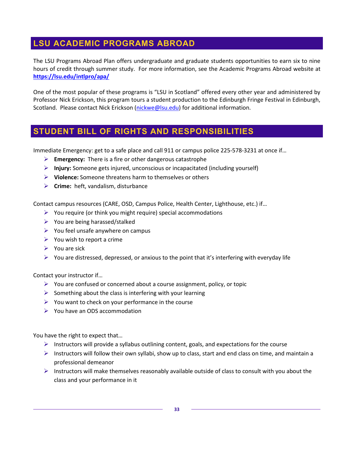# <span id="page-32-0"></span>**LSU ACADEMIC PROGRAMS ABROAD**

The LSU Programs Abroad Plan offers undergraduate and graduate students opportunities to earn six to nine hours of credit through summer study. For more information, see the Academic Programs Abroad website at **<https://lsu.edu/intlpro/apa/>**

One of the most popular of these programs is "LSU in Scotland" offered every other year and administered by Professor Nick Erickson, this program tours a student production to the Edinburgh Fringe Festival in Edinburgh, Scotland. Please contact Nick Erickson [\(nickwe@lsu.edu\)](mailto:nickwe@lsu.edu) for additional information.

# <span id="page-32-1"></span>**STUDENT BILL OF RIGHTS AND RESPONSIBILITIES**

Immediate Emergency: get to a safe place and call 911 or campus police 225-578-3231 at once if…

- **Emergency:** There is a fire or other dangerous catastrophe
- **Injury:** Someone gets injured, unconscious or incapacitated (including yourself)
- **Violence:** Someone threatens harm to themselves or others
- **Crime:** heft, vandalism, disturbance

Contact campus resources (CARE, OSD, Campus Police, Health Center, Lighthouse, etc.) if…

- $\triangleright$  You require (or think you might require) special accommodations
- $\triangleright$  You are being harassed/stalked
- $\triangleright$  You feel unsafe anywhere on campus
- $\triangleright$  You wish to report a crime
- $\triangleright$  You are sick
- $\triangleright$  You are distressed, depressed, or anxious to the point that it's interfering with everyday life

Contact your instructor if…

- $\triangleright$  You are confused or concerned about a course assignment, policy, or topic
- $\triangleright$  Something about the class is interfering with your learning
- $\triangleright$  You want to check on your performance in the course
- $\triangleright$  You have an ODS accommodation

You have the right to expect that…

- $\triangleright$  Instructors will provide a syllabus outlining content, goals, and expectations for the course
- Instructors will follow their own syllabi, show up to class, start and end class on time, and maintain a professional demeanor
- $\triangleright$  Instructors will make themselves reasonably available outside of class to consult with you about the class and your performance in it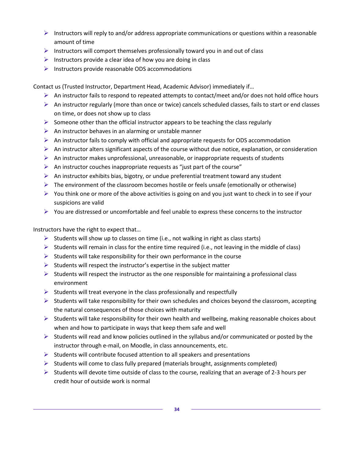- $\triangleright$  Instructors will reply to and/or address appropriate communications or questions within a reasonable amount of time
- $\triangleright$  Instructors will comport themselves professionally toward you in and out of class
- $\triangleright$  Instructors provide a clear idea of how you are doing in class
- $\triangleright$  Instructors provide reasonable ODS accommodations

Contact us (Trusted Instructor, Department Head, Academic Advisor) immediately if…

- $\triangleright$  An instructor fails to respond to repeated attempts to contact/meet and/or does not hold office hours
- $\triangleright$  An instructor regularly (more than once or twice) cancels scheduled classes, fails to start or end classes on time, or does not show up to class
- $\triangleright$  Someone other than the official instructor appears to be teaching the class regularly
- $\triangleright$  An instructor behaves in an alarming or unstable manner
- $\triangleright$  An instructor fails to comply with official and appropriate requests for ODS accommodation
- $\triangleright$  An instructor alters significant aspects of the course without due notice, explanation, or consideration
- $\triangleright$  An instructor makes unprofessional, unreasonable, or inappropriate requests of students
- $\triangleright$  An instructor couches inappropriate requests as "just part of the course"
- $\triangleright$  An instructor exhibits bias, bigotry, or undue preferential treatment toward any student
- $\triangleright$  The environment of the classroom becomes hostile or feels unsafe (emotionally or otherwise)
- $\triangleright$  You think one or more of the above activities is going on and you just want to check in to see if your suspicions are valid
- $\triangleright$  You are distressed or uncomfortable and feel unable to express these concerns to the instructor

Instructors have the right to expect that…

- Students will show up to classes on time (i.e., not walking in right as class starts)
- $\triangleright$  Students will remain in class for the entire time required (i.e., not leaving in the middle of class)
- $\triangleright$  Students will take responsibility for their own performance in the course
- $\triangleright$  Students will respect the instructor's expertise in the subject matter
- $\triangleright$  Students will respect the instructor as the one responsible for maintaining a professional class environment
- $\triangleright$  Students will treat everyone in the class professionally and respectfully
- $\triangleright$  Students will take responsibility for their own schedules and choices beyond the classroom, accepting the natural consequences of those choices with maturity
- $\triangleright$  Students will take responsibility for their own health and wellbeing, making reasonable choices about when and how to participate in ways that keep them safe and well
- $\triangleright$  Students will read and know policies outlined in the syllabus and/or communicated or posted by the instructor through e-mail, on Moodle, in class announcements, etc.
- $\triangleright$  Students will contribute focused attention to all speakers and presentations
- $\triangleright$  Students will come to class fully prepared (materials brought, assignments completed)
- $\triangleright$  Students will devote time outside of class to the course, realizing that an average of 2-3 hours per credit hour of outside work is normal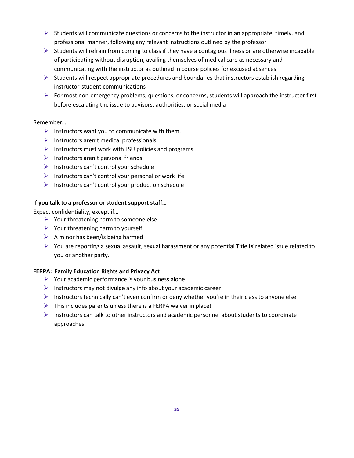- $\triangleright$  Students will communicate questions or concerns to the instructor in an appropriate, timely, and professional manner, following any relevant instructions outlined by the professor
- $\triangleright$  Students will refrain from coming to class if they have a contagious illness or are otherwise incapable of participating without disruption, availing themselves of medical care as necessary and communicating with the instructor as outlined in course policies for excused absences
- $\triangleright$  Students will respect appropriate procedures and boundaries that instructors establish regarding instructor-student communications
- $\triangleright$  For most non-emergency problems, questions, or concerns, students will approach the instructor first before escalating the issue to advisors, authorities, or social media

#### Remember…

- $\triangleright$  Instructors want you to communicate with them.
- $\triangleright$  Instructors aren't medical professionals
- $\triangleright$  Instructors must work with LSU policies and programs
- $\triangleright$  Instructors aren't personal friends
- $\triangleright$  Instructors can't control your schedule
- $\triangleright$  Instructors can't control your personal or work life
- $\triangleright$  Instructors can't control your production schedule

#### **If you talk to a professor or student support staff…**

Expect confidentiality, except if…

- $\triangleright$  Your threatening harm to someone else
- $\triangleright$  Your threatening harm to yourself
- $\triangleright$  A minor has been/is being harmed
- $\triangleright$  You are reporting a sexual assault, sexual harassment or any potential Title IX related issue related to you or another party.

#### **FERPA: Family Education Rights and Privacy Act**

- $\triangleright$  Your academic performance is your business alone
- $\triangleright$  Instructors may not divulge any info about your academic career
- $\triangleright$  Instructors technically can't even confirm or deny whether you're in their class to anyone else
- $\triangleright$  This includes parents unless there is a FERPA waiver in place!
- $\triangleright$  Instructors can talk to other instructors and academic personnel about students to coordinate approaches.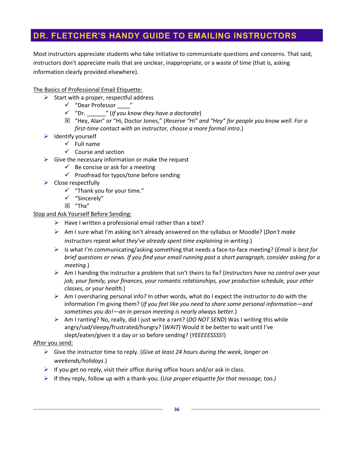# <span id="page-35-0"></span>**DR. FLETCHER'S HANDY GUIDE TO EMAILING INSTRUCTORS**

Most instructors appreciate students who take initiative to communicate questions and concerns. That said, instructors don't appreciate mails that are unclear, inappropriate, or a waste of time (that is, asking information clearly provided elsewhere).

#### The Basics of Professional Email Etiquette:

- $\triangleright$  Start with a proper, respectful address
	- $\checkmark$  "Dear Professor"
	- "Dr. \_\_\_\_\_\_" (*If you know they have a doctorate*)
	- "Hey, Alan" or "Hi, Doctor Jones," (*Reserve "Hi" and "Hey" for people you know well. For a first-time contact with an instructor, choose a more formal intro*.)
- $\triangleright$  Identify yourself
	- $\checkmark$  Full name
	- $\checkmark$  Course and section
- $\triangleright$  Give the necessary information or make the request
	- $\checkmark$  Be concise or ask for a meeting
	- $\checkmark$  Proofread for typos/tone before sending
- $\triangleright$  Close respectfully
	- $\checkmark$  "Thank you for your time."
	- "Sincerely"
	- "Thx"

#### Stop and Ask Yourself Before Sending:

- $\triangleright$  Have I written a professional email rather than a text?
- Am I sure what I'm asking isn't already answered on the syllabus or Moodle? (*Don't make instructors repeat what they've already spent time explaining in writing*.)
- Is what I'm communicating/asking something that needs a face-to-face meeting? (*Email is best for brief questions or news. If you find your email running past a short paragraph, consider asking for a meeting.*)
- Am I handing the instructor a problem that isn't theirs to fix? (*Instructors have no control over your job, your family, your finances, your romantic relationships, your production schedule, your other classes, or your health.*)
- $\triangleright$  Am I oversharing personal info? In other words, what do I expect the instructor to do with the information I'm giving them? (*If you feel like you need to share some personal information—and sometimes you do!—an in-person meeting is nearly always better.*)
- Am I ranting? No, really, did I just write a rant? (*DO NOT SEND*) Was I writing this while angry/sad/sleepy/frustrated/hungry? (*WAIT*) Would it be better to wait until I've slept/eaten/given it a day or so before sending? (*YEEEEESSSS*!)

#### After you send:

- Give the instructor time to reply. (*Give at least 24 hours during the week, longer on weekends/holidays*.)
- $\triangleright$  If you get no reply, visit their office during office hours and/or ask in class.
- If they reply, follow up with a thank-you. (*Use proper etiquette for that message, too.)*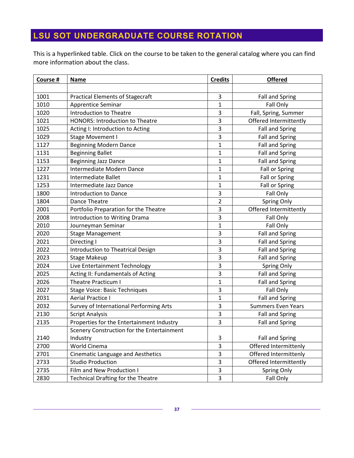# <span id="page-36-0"></span>**LSU SOT UNDERGRADUATE COURSE ROTATION**

This is a hyperlinked table. Click on the course to be taken to the general catalog where you can find more information about the class.

| Course # | <b>Name</b>                                | <b>Credits</b>          | <b>Offered</b>            |
|----------|--------------------------------------------|-------------------------|---------------------------|
|          |                                            |                         |                           |
| 1001     | <b>Practical Elements of Stagecraft</b>    | 3                       | <b>Fall and Spring</b>    |
| 1010     | Apprentice Seminar                         | 1                       | Fall Only                 |
| 1020     | <b>Introduction to Theatre</b>             | 3                       | Fall, Spring, Summer      |
| 1021     | <b>HONORS: Introduction to Theatre</b>     | 3                       | Offered Intermittently    |
| 1025     | Acting I: Introduction to Acting           | 3                       | <b>Fall and Spring</b>    |
| 1029     | Stage Movement I                           | 3                       | <b>Fall and Spring</b>    |
| 1127     | <b>Beginning Modern Dance</b>              | $\mathbf 1$             | <b>Fall and Spring</b>    |
| 1131     | <b>Beginning Ballet</b>                    | $\mathbf 1$             | <b>Fall and Spring</b>    |
| 1153     | <b>Beginning Jazz Dance</b>                | $\mathbf 1$             | <b>Fall and Spring</b>    |
| 1227     | Intermediate Modern Dance                  | $\mathbf 1$             | Fall or Spring            |
| 1231     | Intermediate Ballet                        | 1                       | <b>Fall or Spring</b>     |
| 1253     | Intermediate Jazz Dance                    | $\mathbf{1}$            | Fall or Spring            |
| 1800     | Introduction to Dance                      | 3                       | Fall Only                 |
| 1804     | Dance Theatre                              | $\overline{2}$          | <b>Spring Only</b>        |
| 2001     | Portfolio Preparation for the Theatre      | 3                       | Offered Intermittently    |
| 2008     | Introduction to Writing Drama              | 3                       | Fall Only                 |
| 2010     | Journeyman Seminar                         | 1                       | Fall Only                 |
| 2020     | <b>Stage Management</b>                    | 3                       | <b>Fall and Spring</b>    |
| 2021     | Directing I                                | $\mathsf 3$             | <b>Fall and Spring</b>    |
| 2022     | Introduction to Theatrical Design          | 3                       | <b>Fall and Spring</b>    |
| 2023     | <b>Stage Makeup</b>                        | 3                       | <b>Fall and Spring</b>    |
| 2024     | Live Entertainment Technology              | 3                       | Spring Only               |
| 2025     | Acting II: Fundamentals of Acting          | 3                       | <b>Fall and Spring</b>    |
| 2026     | <b>Theatre Practicum I</b>                 | $\mathbf 1$             | <b>Fall and Spring</b>    |
| 2027     | <b>Stage Voice: Basic Techniques</b>       | 3                       | Fall Only                 |
| 2031     | Aerial Practice I                          | 1                       | <b>Fall and Spring</b>    |
| 2032     | Survey of International Performing Arts    | 3                       | <b>Summers Even Years</b> |
| 2130     | <b>Script Analysis</b>                     | 3                       | <b>Fall and Spring</b>    |
| 2135     | Properties for the Entertainment Industry  | 3                       | <b>Fall and Spring</b>    |
|          | Scenery Construction for the Entertainment |                         |                           |
| 2140     | Industry                                   | 3                       | <b>Fall and Spring</b>    |
| 2700     | World Cinema                               | 3                       | Offered Intermittenly     |
| 2701     | <b>Cinematic Language and Aesthetics</b>   | 3                       | Offered Intermittenly     |
| 2733     | <b>Studio Production</b>                   | $\overline{\mathbf{3}}$ | Offered Intermittently    |
| 2735     | Film and New Production I                  | $\mathsf 3$             | Spring Only               |
| 2830     | <b>Technical Drafting for the Theatre</b>  | 3                       | Fall Only                 |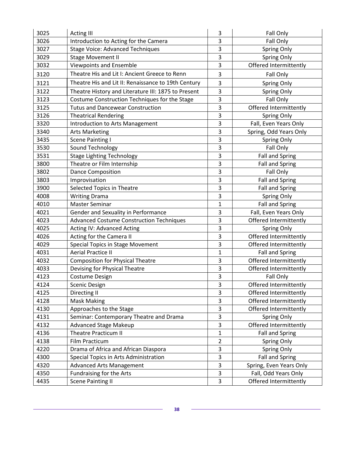| 3025 | <b>Acting III</b>                                   | 3                         | Fall Only               |
|------|-----------------------------------------------------|---------------------------|-------------------------|
| 3026 | Introduction to Acting for the Camera               | 3                         | Fall Only               |
| 3027 | <b>Stage Voice: Advanced Techniques</b>             | 3                         | Spring Only             |
| 3029 | <b>Stage Movement II</b>                            | 3                         | Spring Only             |
| 3032 | <b>Viewpoints and Ensemble</b>                      | 3                         | Offered Intermittently  |
| 3120 | Theatre His and Lit I: Ancient Greece to Renn       | 3                         | Fall Only               |
| 3121 | Theatre His and Lit II: Renaissance to 19th Century | 3                         | Spring Only             |
| 3122 | Theatre History and Literature III: 1875 to Present | 3                         | Spring Only             |
| 3123 | Costume Construction Techniques for the Stage       | 3                         | Fall Only               |
| 3125 | <b>Tutus and Dancewear Construction</b>             | 3                         | Offered Intermittently  |
| 3126 | <b>Theatrical Rendering</b>                         | 3                         | Spring Only             |
| 3320 | Introduction to Arts Management                     | 3                         | Fall, Even Years Only   |
| 3340 | <b>Arts Marketing</b>                               | 3                         | Spring, Odd Years Only  |
| 3435 | <b>Scene Painting I</b>                             | 3                         | Spring Only             |
| 3530 | Sound Technology                                    | 3                         | Fall Only               |
| 3531 | <b>Stage Lighting Technology</b>                    | 3                         | <b>Fall and Spring</b>  |
| 3800 | Theatre or Film Internship                          | 3                         | <b>Fall and Spring</b>  |
| 3802 | <b>Dance Composition</b>                            | 3                         | Fall Only               |
| 3803 | Improvisation                                       | 3                         | <b>Fall and Spring</b>  |
| 3900 | Selected Topics in Theatre                          | 3                         | <b>Fall and Spring</b>  |
| 4008 | <b>Writing Drama</b>                                | 3                         | Spring Only             |
| 4010 | <b>Master Seminar</b>                               | $\mathbf{1}$              | <b>Fall and Spring</b>  |
| 4021 | Gender and Sexuality in Performance                 | 3                         | Fall, Even Years Only   |
| 4023 | <b>Advanced Costume Construction Techniques</b>     | 3                         | Offered Intermittently  |
| 4025 | <b>Acting IV: Advanced Acting</b>                   | 3                         | Spring Only             |
| 4026 | Acting for the Camera II                            | 3                         | Offered Intermittently  |
| 4029 | Special Topics in Stage Movement                    | 3                         | Offered Intermittently  |
| 4031 | <b>Aerial Practice II</b>                           | $\mathbf 1$               | <b>Fall and Spring</b>  |
| 4032 | <b>Composition for Physical Theatre</b>             | 3                         | Offered Intermittently  |
| 4033 | Devising for Physical Theatre                       | 3                         | Offered Intermittently  |
| 4123 | Costume Design                                      | 3                         | Fall Only               |
| 4124 | Scenic Design                                       | 3                         | Offered Intermittently  |
| 4125 | Directing II                                        | 3                         | Offered Intermittently  |
| 4128 | <b>Mask Making</b>                                  | 3                         | Offered Intermittently  |
| 4130 | Approaches to the Stage                             | 3                         | Offered Intermittently  |
| 4131 | Seminar: Contemporary Theatre and Drama             | 3                         | Spring Only             |
| 4132 | <b>Advanced Stage Makeup</b>                        | 3                         | Offered Intermittently  |
| 4136 | <b>Theatre Practicum II</b>                         | 1                         | <b>Fall and Spring</b>  |
| 4138 | Film Practicum                                      | 2                         | Spring Only             |
| 4220 | Drama of Africa and African Diaspora                | 3                         | Spring Only             |
| 4300 | Special Topics in Arts Administration               | 3                         | <b>Fall and Spring</b>  |
| 4320 | <b>Advanced Arts Management</b>                     | 3                         | Spring, Even Years Only |
| 4350 | Fundraising for the Arts                            | $\ensuremath{\mathsf{3}}$ | Fall, Odd Years Only    |
| 4435 | <b>Scene Painting II</b>                            | 3                         | Offered Intermittently  |

 $\equiv$ 

 $\mathcal{L}(\mathcal{L}(\mathcal{L}))$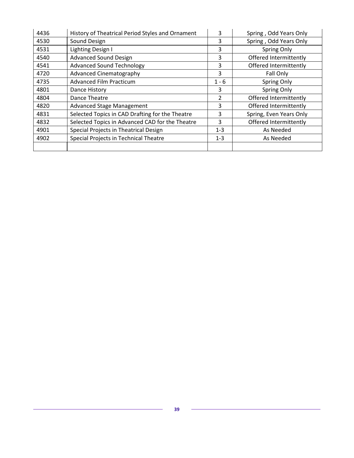| 4436 | History of Theatrical Period Styles and Ornament | 3       | Spring, Odd Years Only  |
|------|--------------------------------------------------|---------|-------------------------|
| 4530 | Sound Design                                     | 3       | Spring, Odd Years Only  |
| 4531 | Lighting Design I                                | 3       | Spring Only             |
| 4540 | <b>Advanced Sound Design</b>                     | 3       | Offered Intermittently  |
| 4541 | <b>Advanced Sound Technology</b>                 | 3       | Offered Intermittently  |
| 4720 | Advanced Cinematography                          | 3       | Fall Only               |
| 4735 | <b>Advanced Film Practicum</b>                   | $1 - 6$ | Spring Only             |
| 4801 | Dance History                                    | 3       | Spring Only             |
| 4804 | Dance Theatre                                    | 2       | Offered Intermittently  |
| 4820 | <b>Advanced Stage Management</b>                 | 3       | Offered Intermittently  |
| 4831 | Selected Topics in CAD Drafting for the Theatre  | 3       | Spring, Even Years Only |
| 4832 | Selected Topics in Advanced CAD for the Theatre  | 3       | Offered Intermittently  |
| 4901 | Special Projects in Theatrical Design            | $1 - 3$ | As Needed               |
| 4902 | Special Projects in Technical Theatre            | $1 - 3$ | As Needed               |
|      |                                                  |         |                         |

L,

 $\overline{\phantom{0}}$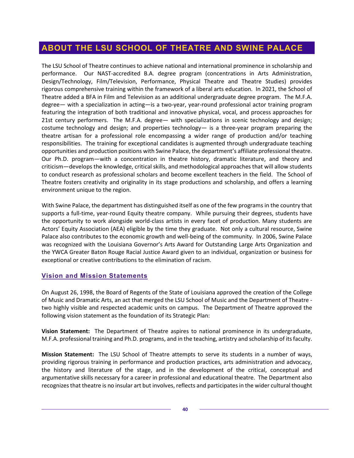# <span id="page-39-0"></span>**ABOUT THE LSU SCHOOL OF THEATRE AND SWINE PALACE**

The LSU School of Theatre continues to achieve national and international prominence in scholarship and performance. Our NAST-accredited B.A. degree program (concentrations in Arts Administration, Design/Technology, Film/Television, Performance, Physical Theatre and Theatre Studies) provides rigorous comprehensive training within the framework of a liberal arts education. In 2021, the School of Theatre added a BFA in Film and Television as an additional undergraduate degree program. The M.F.A. degree— with a specialization in acting—is a two-year, year-round professional actor training program featuring the integration of both traditional and innovative physical, vocal, and process approaches for 21st century performers. The M.F.A. degree— with specializations in scenic technology and design; costume technology and design; and properties technology— is a three-year program preparing the theatre artisan for a professional role encompassing a wider range of production and/or teaching responsibilities. The training for exceptional candidates is augmented through undergraduate teaching opportunities and production positions with Swine Palace, the department's affiliate professional theatre. Our Ph.D. program—with a concentration in theatre history, dramatic literature, and theory and criticism—develops the knowledge, critical skills, and methodological approaches that will allow students to conduct research as professional scholars and become excellent teachers in the field. The School of Theatre fosters creativity and originality in its stage productions and scholarship, and offers a learning environment unique to the region.

With Swine Palace, the department has distinguished itself as one of the few programs in the country that supports a full-time, year-round Equity theatre company. While pursuing their degrees, students have the opportunity to work alongside world-class artists in every facet of production. Many students are Actors' Equity Association (AEA) eligible by the time they graduate. Not only a cultural resource, Swine Palace also contributes to the economic growth and well-being of the community. In 2006, Swine Palace was recognized with the Louisiana Governor's Arts Award for Outstanding Large Arts Organization and the YWCA Greater Baton Rouge Racial Justice Award given to an individual, organization or business for exceptional or creative contributions to the elimination of racism.

#### <span id="page-39-1"></span>**Vision and Mission Statements**

On August 26, 1998, the Board of Regents of the State of Louisiana approved the creation of the College of Music and Dramatic Arts, an act that merged the LSU School of Music and the Department of Theatre two highly visible and respected academic units on campus. The Department of Theatre approved the following vision statement as the foundation of its Strategic Plan:

**Vision Statement:** The Department of Theatre aspires to national prominence in its undergraduate, M.F.A. professional training and Ph.D. programs, and in the teaching, artistry and scholarship of its faculty.

**Mission Statement:** The LSU School of Theatre attempts to serve its students in a number of ways, providing rigorous training in performance and production practices, arts administration and advocacy, the history and literature of the stage, and in the development of the critical, conceptual and argumentative skills necessary for a career in professional and educational theatre. The Department also recognizes that theatre is no insular art but involves, reflects and participates in the wider cultural thought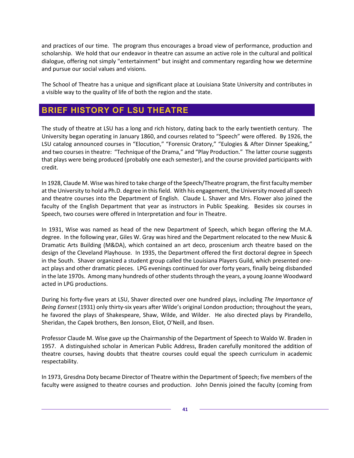and practices of our time. The program thus encourages a broad view of performance, production and scholarship. We hold that our endeavor in theatre can assume an active role in the cultural and political dialogue, offering not simply "entertainment" but insight and commentary regarding how we determine and pursue our social values and visions.

The School of Theatre has a unique and significant place at Louisiana State University and contributes in a visible way to the quality of life of both the region and the state.

# <span id="page-40-0"></span>**BRIEF HISTORY OF LSU THEATRE**

The study of theatre at LSU has a long and rich history, dating back to the early twentieth century. The University began operating in January 1860, and courses related to "Speech" were offered. By 1926, the LSU catalog announced courses in "Elocution," "Forensic Oratory," "Eulogies & After Dinner Speaking," and two courses in theatre: "Technique of the Drama," and "Play Production." The latter course suggests that plays were being produced (probably one each semester), and the course provided participants with credit.

In 1928, Claude M. Wise was hired to take charge of the Speech/Theatre program, the first faculty member at the University to hold a Ph.D. degree in this field. With his engagement, the University moved all speech and theatre courses into the Department of English. Claude L. Shaver and Mrs. Flower also joined the faculty of the English Department that year as instructors in Public Speaking. Besides six courses in Speech, two courses were offered in Interpretation and four in Theatre.

In 1931, Wise was named as head of the new Department of Speech, which began offering the M.A. degree. In the following year, Giles W. Gray was hired and the Department relocated to the new Music & Dramatic Arts Building (M&DA), which contained an art deco, proscenium arch theatre based on the design of the Cleveland Playhouse. In 1935, the Department offered the first doctoral degree in Speech in the South. Shaver organized a student group called the Louisiana Players Guild, which presented oneact plays and other dramatic pieces. LPG evenings continued for over forty years, finally being disbanded in the late 1970s. Among many hundreds of other students through the years, a young Joanne Woodward acted in LPG productions.

During his forty-five years at LSU, Shaver directed over one hundred plays, including *The Importance of Being Earnest* (1931) only thirty-six years after Wilde's original London production; throughout the years, he favored the plays of Shakespeare, Shaw, Wilde, and Wilder. He also directed plays by Pirandello, Sheridan, the Capek brothers, Ben Jonson, Eliot, O'Neill, and Ibsen.

Professor Claude M. Wise gave up the Chairmanship of the Department of Speech to Waldo W. Braden in 1957. A distinguished scholar in American Public Address, Braden carefully monitored the addition of theatre courses, having doubts that theatre courses could equal the speech curriculum in academic respectability.

In 1973, Gresdna Doty became Director of Theatre within the Department of Speech; five members of the faculty were assigned to theatre courses and production. John Dennis joined the faculty (coming from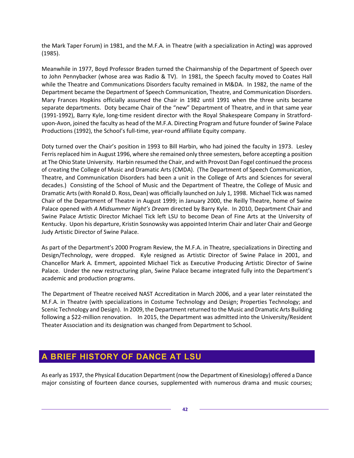the Mark Taper Forum) in 1981, and the M.F.A. in Theatre (with a specialization in Acting) was approved (1985).

Meanwhile in 1977, Boyd Professor Braden turned the Chairmanship of the Department of Speech over to John Pennybacker (whose area was Radio & TV). In 1981, the Speech faculty moved to Coates Hall while the Theatre and Communications Disorders faculty remained in M&DA. In 1982, the name of the Department became the Department of Speech Communication, Theatre, and Communication Disorders. Mary Frances Hopkins officially assumed the Chair in 1982 until 1991 when the three units became separate departments. Doty became Chair of the "new" Department of Theatre, and in that same year (1991-1992), Barry Kyle, long-time resident director with the Royal Shakespeare Company in Stratfordupon-Avon, joined the faculty as head of the M.F.A. Directing Program and future founder of Swine Palace Productions (1992), the School's full-time, year-round affiliate Equity company.

Doty turned over the Chair's position in 1993 to Bill Harbin, who had joined the faculty in 1973. Lesley Ferris replaced him in August 1996, where she remained only three semesters, before accepting a position at The Ohio State University. Harbin resumed the Chair, and with Provost Dan Fogel continued the process of creating the College of Music and Dramatic Arts (CMDA). (The Department of Speech Communication, Theatre, and Communication Disorders had been a unit in the College of Arts and Sciences for several decades.) Consisting of the School of Music and the Department of Theatre, the College of Music and Dramatic Arts (with Ronald D. Ross, Dean) was officially launched on July 1, 1998. Michael Tick was named Chair of the Department of Theatre in August 1999; in January 2000, the Reilly Theatre, home of Swine Palace opened with *A Midsummer Night's Dream* directed by Barry Kyle. In 2010, Department Chair and Swine Palace Artistic Director Michael Tick left LSU to become Dean of Fine Arts at the University of Kentucky. Upon his departure, Kristin Sosnowsky was appointed Interim Chair and later Chair and George Judy Artistic Director of Swine Palace.

As part of the Department's 2000 Program Review, the M.F.A. in Theatre, specializations in Directing and Design/Technology, were dropped. Kyle resigned as Artistic Director of Swine Palace in 2001, and Chancellor Mark A. Emmert, appointed Michael Tick as Executive Producing Artistic Director of Swine Palace. Under the new restructuring plan, Swine Palace became integrated fully into the Department's academic and production programs.

The Department of Theatre received NAST Accreditation in March 2006, and a year later reinstated the M.F.A. in Theatre (with specializations in Costume Technology and Design; Properties Technology; and Scenic Technology and Design). In 2009, the Department returned to the Music and Dramatic Arts Building following a \$22-million renovation. In 2015, the Department was admitted into the University/Resident Theater Association and its designation was changed from Department to School.

# <span id="page-41-0"></span>**A BRIEF HISTORY OF DANCE AT LSU**

As early as 1937, the Physical Education Department (now the Department of Kinesiology) offered a Dance major consisting of fourteen dance courses, supplemented with numerous drama and music courses;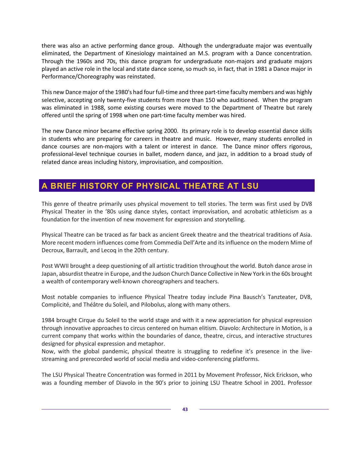there was also an active performing dance group. Although the undergraduate major was eventually eliminated, the Department of Kinesiology maintained an M.S. program with a Dance concentration. Through the 1960s and 70s, this dance program for undergraduate non-majors and graduate majors played an active role in the local and state dance scene, so much so, in fact, that in 1981 a Dance major in Performance/Choreography was reinstated.

This new Dance major of the 1980's had four full-time and three part-time faculty members and was highly selective, accepting only twenty-five students from more than 150 who auditioned. When the program was eliminated in 1988, some existing courses were moved to the Department of Theatre but rarely offered until the spring of 1998 when one part-time faculty member was hired.

The new Dance minor became effective spring 2000. Its primary role is to develop essential dance skills in students who are preparing for careers in theatre and music. However, many students enrolled in dance courses are non-majors with a talent or interest in dance. The Dance minor offers rigorous, professional-level technique courses in ballet, modern dance, and jazz, in addition to a broad study of related dance areas including history, improvisation, and composition.

# <span id="page-42-0"></span>**A BRIEF HISTORY OF PHYSICAL THEATRE AT LSU**

This genre of theatre primarily uses physical movement to tell stories. The term was first used by DV8 Physical Theater in the '80s using dance styles, contact improvisation, and acrobatic athleticism as a foundation for the invention of new movement for expression and storytelling.

Physical Theatre can be traced as far back as ancient Greek theatre and the theatrical traditions of Asia. More recent modern influences come from Commedia Dell'Arte and its influence on the modern Mime of Decroux, Barrault, and Lecoq in the 20th century.

Post WWII brought a deep questioning of all artistic tradition throughout the world. Butoh dance arose in Japan, absurdist theatre in Europe, and the Judson Church Dance Collective in New York in the 60s brought a wealth of contemporary well-known choreographers and teachers.

Most notable companies to influence Physical Theatre today include Pina Bausch's Tanzteater, DV8, Complicité, and Théâtre du Soleil, and Pilobolus, along with many others.

1984 brought Cirque du Soleil to the world stage and with it a new appreciation for physical expression through innovative approaches to circus centered on human elitism. Diavolo: Architecture in Motion, is a current company that works within the boundaries of dance, theatre, circus, and interactive structures designed for physical expression and metaphor.

Now, with the global pandemic, physical theatre is struggling to redefine it's presence in the livestreaming and prerecorded world of social media and video-conferencing platforms.

The LSU Physical Theatre Concentration was formed in 2011 by Movement Professor, Nick Erickson, who was a founding member of Diavolo in the 90's prior to joining LSU Theatre School in 2001. Professor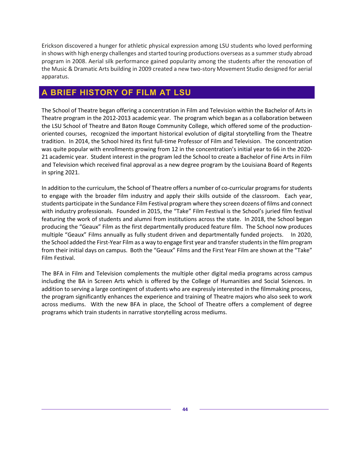Erickson discovered a hunger for athletic physical expression among LSU students who loved performing in shows with high energy challenges and started touring productions overseas as a summer study abroad program in 2008. Aerial silk performance gained popularity among the students after the renovation of the Music & Dramatic Arts building in 2009 created a new two-story Movement Studio designed for aerial apparatus.

# <span id="page-43-0"></span>**A BRIEF HISTORY OF FILM AT LSU**

The School of Theatre began offering a concentration in Film and Television within the Bachelor of Arts in Theatre program in the 2012-2013 academic year. The program which began as a collaboration between the LSU School of Theatre and Baton Rouge Community College, which offered some of the productionoriented courses, recognized the important historical evolution of digital storytelling from the Theatre tradition. In 2014, the School hired its first full-time Professor of Film and Television. The concentration was quite popular with enrollments growing from 12 in the concentration's initial year to 66 in the 2020- 21 academic year. Student interest in the program led the School to create a Bachelor of Fine Arts in Film and Television which received final approval as a new degree program by the Louisiana Board of Regents in spring 2021.

In addition to the curriculum, the School of Theatre offers a number of co-curricular programs for students to engage with the broader film industry and apply their skills outside of the classroom. Each year, students participate in the Sundance Film Festival program where they screen dozens of films and connect with industry professionals. Founded in 2015, the "Take" Film Festival is the School's juried film festival featuring the work of students and alumni from institutions across the state. In 2018, the School began producing the "Geaux" Film as the first departmentally produced feature film. The School now produces multiple "Geaux" Films annually as fully student driven and departmentally funded projects. In 2020, the School added the First-Year Film as a way to engage first year and transfer studentsin the film program from their initial days on campus. Both the "Geaux" Films and the First Year Film are shown at the "Take" Film Festival.

The BFA in Film and Television complements the multiple other digital media programs across campus including the BA in Screen Arts which is offered by the College of Humanities and Social Sciences. In addition to serving a large contingent of students who are expressly interested in the filmmaking process, the program significantly enhances the experience and training of Theatre majors who also seek to work across mediums. With the new BFA in place, the School of Theatre offers a complement of degree programs which train students in narrative storytelling across mediums.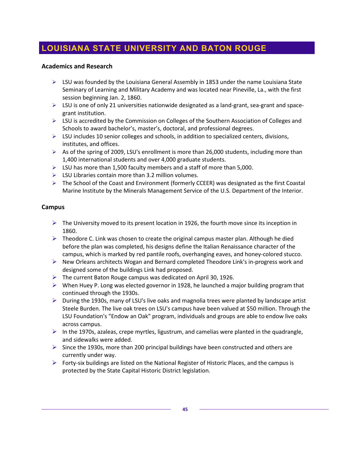# <span id="page-44-0"></span>**LOUISIANA STATE UNIVERSITY AND BATON ROUGE**

#### **Academics and Research**

- $\triangleright$  LSU was founded by the Louisiana General Assembly in 1853 under the name Louisiana State Seminary of Learning and Military Academy and was located near Pineville, La., with the first session beginning Jan. 2, 1860.
- $\triangleright$  LSU is one of only 21 universities nationwide designated as a land-grant, sea-grant and spacegrant institution.
- ▶ LSU is accredited by the Commission on Colleges of the Southern Association of Colleges and Schools to award bachelor's, master's, doctoral, and professional degrees.
- $\triangleright$  LSU includes 10 senior colleges and schools, in addition to specialized centers, divisions, institutes, and offices.
- $\triangleright$  As of the spring of 2009, LSU's enrollment is more than 26,000 students, including more than 1,400 international students and over 4,000 graduate students.
- $\triangleright$  LSU has more than 1,500 faculty members and a staff of more than 5,000.
- $\triangleright$  LSU Libraries contain more than 3.2 million volumes.
- $\triangleright$  The School of the Coast and Environment (formerly CCEER) was designated as the first Coastal Marine Institute by the Minerals Management Service of the U.S. Department of the Interior.

#### **Campus**

- $\triangleright$  The University moved to its present location in 1926, the fourth move since its inception in 1860.
- $\triangleright$  Theodore C. Link was chosen to create the original campus master plan. Although he died before the plan was completed, his designs define the Italian Renaissance character of the campus, which is marked by red pantile roofs, overhanging eaves, and honey-colored stucco.
- $\triangleright$  New Orleans architects Wogan and Bernard completed Theodore Link's in-progress work and designed some of the buildings Link had proposed.
- $\triangleright$  The current Baton Rouge campus was dedicated on April 30, 1926.
- $\triangleright$  When Huey P. Long was elected governor in 1928, he launched a major building program that continued through the 1930s.
- During the 1930s, many of LSU's live oaks and magnolia trees were planted by landscape artist Steele Burden. The live oak trees on LSU's campus have been valued at \$50 million. Through the LSU Foundation's "Endow an Oak" program, individuals and groups are able to endow live oaks across campus.
- $\triangleright$  In the 1970s, azaleas, crepe myrtles, ligustrum, and camelias were planted in the quadrangle, and sidewalks were added.
- $\triangleright$  Since the 1930s, more than 200 principal buildings have been constructed and others are currently under way.
- $\triangleright$  Forty-six buildings are listed on the National Register of Historic Places, and the campus is protected by the State Capital Historic District legislation.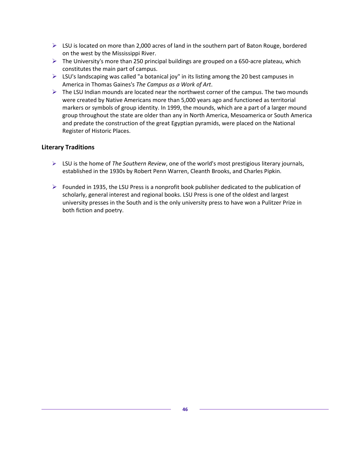- $\triangleright$  LSU is located on more than 2,000 acres of land in the southern part of Baton Rouge, bordered on the west by the Mississippi River.
- $\triangleright$  The University's more than 250 principal buildings are grouped on a 650-acre plateau, which constitutes the main part of campus.
- $\triangleright$  LSU's landscaping was called "a botanical joy" in its listing among the 20 best campuses in America in Thomas Gaines's *The Campus as a Work of Art*.
- $\triangleright$  The LSU Indian mounds are located near the northwest corner of the campus. The two mounds were created by Native Americans more than 5,000 years ago and functioned as territorial markers or symbols of group identity. In 1999, the mounds, which are a part of a larger mound group throughout the state are older than any in North America, Mesoamerica or South America and predate the construction of the great Egyptian pyramids, were placed on the National Register of Historic Places.

#### **Literary Traditions**

- LSU is the home of *The Southern Review*, one of the world's most prestigious literary journals, established in the 1930s by Robert Penn Warren, Cleanth Brooks, and Charles Pipkin.
- $\triangleright$  Founded in 1935, the LSU Press is a nonprofit book publisher dedicated to the publication of scholarly, general interest and regional books. LSU Press is one of the oldest and largest university presses in the South and is the only university press to have won a Pulitzer Prize in both fiction and poetry.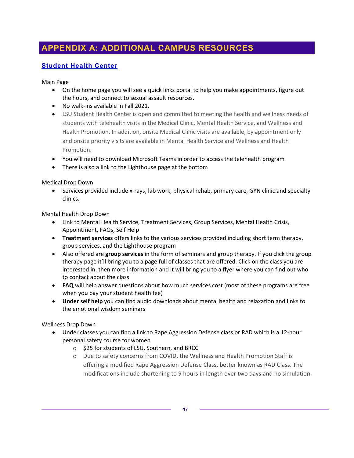# <span id="page-46-0"></span>**APPENDIX A: ADDITIONAL CAMPUS RESOURCES**

# <span id="page-46-1"></span>**[Student Health Center](https://lsu.edu/shc/index.php)**

Main Page

- On the home page you will see a quick links portal to help you make appointments, figure out the hours, and connect to sexual assault resources.
- No walk-ins available in Fall 2021.
- LSU Student Health Center is open and committed to meeting the health and wellness needs of students with telehealth visits in the Medical Clinic, Mental Health Service, and Wellness and Health Promotion. In addition, onsite Medical Clinic visits are available, by appointment only and onsite priority visits are available in Mental Health Service and Wellness and Health Promotion.
- You will need to download Microsoft Teams in order to access the telehealth program
- There is also a link to the Lighthouse page at the bottom

Medical Drop Down

• Services provided include x-rays, lab work, physical rehab, primary care, GYN clinic and specialty clinics.

Mental Health Drop Down

- Link to Mental Health Service, Treatment Services, Group Services, Mental Health Crisis, Appointment, FAQs, Self Help
- **Treatment services** offers links to the various services provided including short term therapy, group services, and the Lighthouse program
- Also offered are **group services** in the form of seminars and group therapy. If you click the group therapy page it'll bring you to a page full of classes that are offered. Click on the class you are interested in, then more information and it will bring you to a flyer where you can find out who to contact about the class
- **FAQ** will help answer questions about how much services cost (most of these programs are free when you pay your student health fee)
- **Under self help** you can find audio downloads about mental health and relaxation and links to the emotional wisdom seminars

Wellness Drop Down

- Under classes you can find a link to Rape Aggression Defense class or RAD which is a 12-hour personal safety course for women
	- o \$25 for students of LSU, Southern, and BRCC
	- o Due to safety concerns from COVID, the Wellness and Health Promotion Staff is offering a modified Rape Aggression Defense Class, better known as RAD Class. The modifications include shortening to 9 hours in length over two days and no simulation.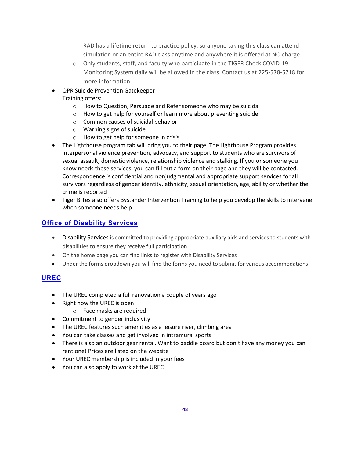RAD has a lifetime return to practice policy, so anyone taking this class can attend simulation or an entire RAD class anytime and anywhere it is offered at NO charge.

- o Only students, staff, and faculty who participate in the TIGER Check COVID-19 Monitoring System daily will be allowed in the class. Contact us at 225-578-5718 for more information.
- QPR Suicide Prevention Gatekeeper Training offers:
	- o How to Question, Persuade and Refer someone who may be suicidal
	- o How to get help for yourself or learn more about preventing suicide
	- o Common causes of suicidal behavior
	- o Warning signs of suicide
	- o How to get help for someone in crisis
- The Lighthouse program tab will bring you to their page. The Lighthouse Program provides interpersonal violence prevention, advocacy, and support to students who are survivors of sexual assault, domestic violence, relationship violence and stalking. If you or someone you know needs these services, you can fill out a form on their page and they will be contacted. Correspondence is confidential and nonjudgmental and appropriate support services for all survivors regardless of gender identity, ethnicity, sexual orientation, age, ability or whether the crime is reported
- Tiger BITes also offers Bystander Intervention Training to help you develop the skills to intervene when someone needs help

## <span id="page-47-0"></span>**[Office](https://lsu.edu/disability/) of Disability Services**

- Disability Services is committed to providing appropriate auxiliary aids and services to students with disabilities to ensure they receive full participation
- On the home page you can find links to register with Disability Services
- Under the forms dropdown you will find the forms you need to submit for various accommodations

## <span id="page-47-1"></span>**[UREC](https://www.lsuuniversityrec.com/)**

- The UREC completed a full renovation a couple of years ago
- Right now the UREC is open
	- o Face masks are required
- Commitment to gender inclusivity
- The UREC features such amenities as a leisure river, climbing area
- You can take classes and get involved in intramural sports
- There is also an outdoor gear rental. Want to paddle board but don't have any money you can rent one! Prices are listed on the website
- Your UREC membership is included in your fees
- You can also apply to work at the UREC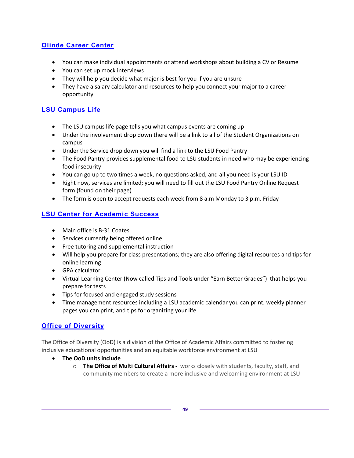### <span id="page-48-0"></span>**[Olinde Career Center](https://www.lsu.edu/careercenter/index.php)**

- You can make individual appointments or attend workshops about building a CV or Resume
- You can set up mock interviews
- They will help you decide what major is best for you if you are unsure
- They have a salary calculator and resources to help you connect your major to a career opportunity

# <span id="page-48-1"></span>**[LSU Campus Life](https://www.lsu.edu/campuslife/)**

- The LSU campus life page tells you what campus events are coming up
- Under the involvement drop down there will be a link to all of the Student Organizations on campus
- Under the Service drop down you will find a link to the LSU Food Pantry
- The Food Pantry provides supplemental food to LSU students in need who may be experiencing food insecurity
- You can go up to two times a week, no questions asked, and all you need is your LSU ID
- Right now, services are limited; you will need to fill out the LSU Food Pantry Online Request form (found on their page)
- The form is open to accept requests each week from 8 a.m Monday to 3 p.m. Friday

## <span id="page-48-2"></span>**[LSU Center for Academic Success](https://www.lsu.edu/cas/)**

- Main office is B-31 Coates
- Services currently being offered online
- Free tutoring and supplemental instruction
- Will help you prepare for class presentations; they are also offering digital resources and tips for online learning
- GPA calculator
- Virtual Learning Center (Now called Tips and Tools under "Earn Better Grades") that helps you prepare for tests
- Tips for focused and engaged study sessions
- Time management resources including a LSU academic calendar you can print, weekly planner pages you can print, and tips for organizing your life

## <span id="page-48-3"></span>**[Office of Diversity](https://www.lsu.edu/diversity/index.php)**

The Office of Diversity (OoD) is a division of the Office of Academic Affairs committed to fostering inclusive educational opportunities and an equitable workforce environment at LSU

- **The OoD units include**
	- o **The Office of Multi Cultural Affairs -** works closely with students, faculty, staff, and community members to create a more inclusive and welcoming environment at LSU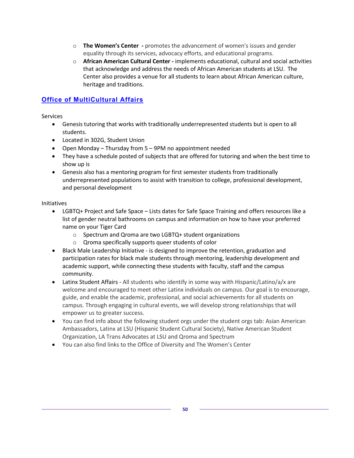- o **The Women's Center -** promotes the advancement of women's issues and gender equality through its services, advocacy efforts, and educational programs.
- o **African American Cultural Center -** implements educational, cultural and social activities that acknowledge and address the needs of African American students at LSU. The Center also provides a venue for all students to learn about African American culture, heritage and traditions.

### <span id="page-49-0"></span>**[Office of MultiCultural Affairs](https://www.lsu.edu/diversity/oma/)**

**Services** 

- Genesis tutoring that works with traditionally underrepresented students but is open to all students.
- Located in 302G, Student Union
- Open Monday Thursday from 5 9PM no appointment needed
- They have a schedule posted of subjects that are offered for tutoring and when the best time to show up is
- Genesis also has a mentoring program for first semester students from traditionally underrepresented populations to assist with transition to college, professional development, and personal development

#### Initiatives

- LGBTQ+ Project and Safe Space Lists dates for Safe Space Training and offers resources like a list of gender neutral bathrooms on campus and information on how to have your preferred name on your Tiger Card
	- o Spectrum and Qroma are two LGBTQ+ student organizations
	- o Qroma specifically supports queer students of color
- Black Male Leadership Initiative is designed to improve the retention, graduation and participation rates for black male students through mentoring, leadership development and academic support, while connecting these students with faculty, staff and the campus community.
- Latinx Student Affairs All students who identify in some way with Hispanic/Latino/a/x are welcome and encouraged to meet other Latinx individuals on campus. Our goal is to encourage, guide, and enable the academic, professional, and social achievements for all students on campus. Through engaging in cultural events, we will develop strong relationships that will empower us to greater success.
- You can find info about the following student orgs under the student orgs tab: Asian American Ambassadors, Latinx at LSU (Hispanic Student Cultural Society), Native American Student Organization, LA Trans Advocates at LSU and Qroma and Spectrum
- You can also find links to the Office of Diversity and The Women's Center